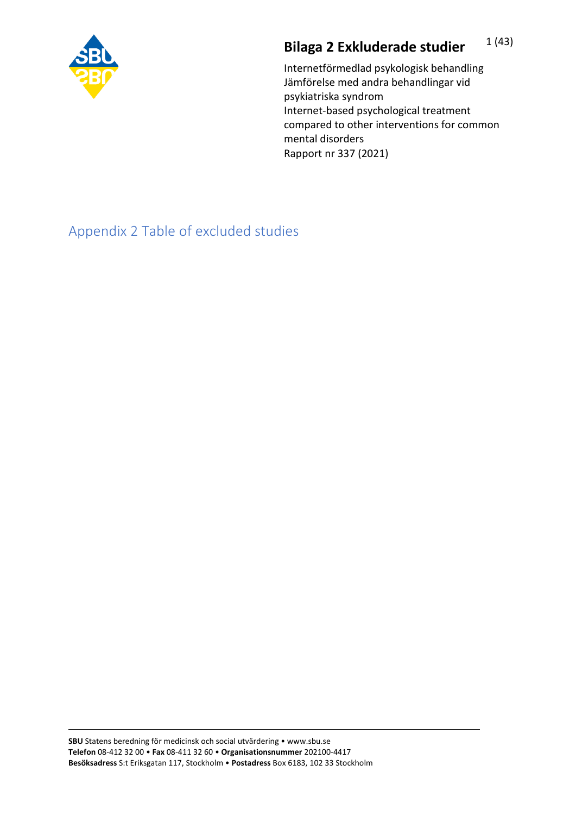

## **Bilaga 2 Exkluderade studier** 1(43)

Internetförmedlad psykologisk behandling Jämförelse med andra behandlingar vid psykiatriska syndrom Internet-based psychological treatment compared to other interventions for common mental disorders Rapport nr 337 (2021)

Appendix 2 Table of excluded studies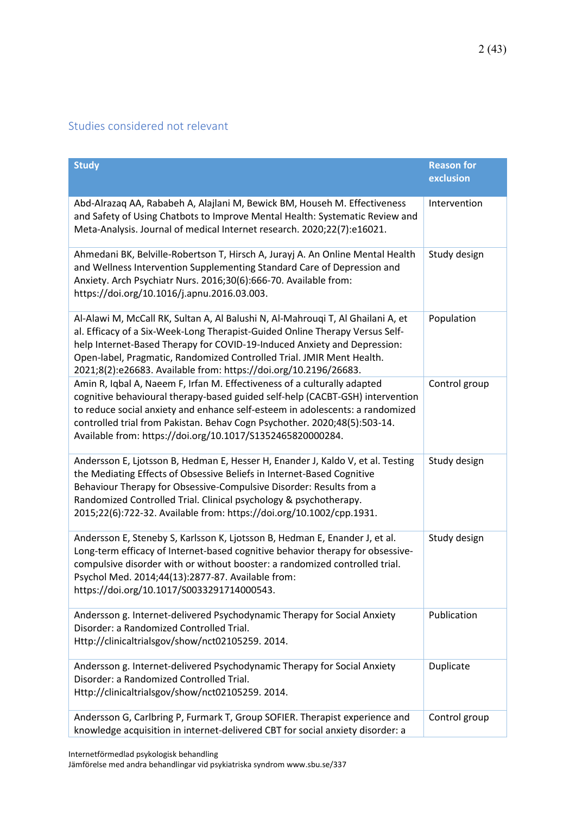## Studies considered not relevant

| <b>Study</b>                                                                                                                                                                                                                                                                                                                                                                             | <b>Reason for</b><br>exclusion |
|------------------------------------------------------------------------------------------------------------------------------------------------------------------------------------------------------------------------------------------------------------------------------------------------------------------------------------------------------------------------------------------|--------------------------------|
| Abd-Alrazaq AA, Rababeh A, Alajlani M, Bewick BM, Househ M. Effectiveness<br>and Safety of Using Chatbots to Improve Mental Health: Systematic Review and<br>Meta-Analysis. Journal of medical Internet research. 2020;22(7):e16021.                                                                                                                                                     | Intervention                   |
| Ahmedani BK, Belville-Robertson T, Hirsch A, Jurayj A. An Online Mental Health<br>and Wellness Intervention Supplementing Standard Care of Depression and<br>Anxiety. Arch Psychiatr Nurs. 2016;30(6):666-70. Available from:<br>https://doi.org/10.1016/j.apnu.2016.03.003.                                                                                                             | Study design                   |
| Al-Alawi M, McCall RK, Sultan A, Al Balushi N, Al-Mahrouqi T, Al Ghailani A, et<br>al. Efficacy of a Six-Week-Long Therapist-Guided Online Therapy Versus Self-<br>help Internet-Based Therapy for COVID-19-Induced Anxiety and Depression:<br>Open-label, Pragmatic, Randomized Controlled Trial. JMIR Ment Health.<br>2021;8(2):e26683. Available from: https://doi.org/10.2196/26683. | Population                     |
| Amin R, Iqbal A, Naeem F, Irfan M. Effectiveness of a culturally adapted<br>cognitive behavioural therapy-based guided self-help (CACBT-GSH) intervention<br>to reduce social anxiety and enhance self-esteem in adolescents: a randomized<br>controlled trial from Pakistan. Behav Cogn Psychother. 2020;48(5):503-14.<br>Available from: https://doi.org/10.1017/S1352465820000284.    | Control group                  |
| Andersson E, Ljotsson B, Hedman E, Hesser H, Enander J, Kaldo V, et al. Testing<br>the Mediating Effects of Obsessive Beliefs in Internet-Based Cognitive<br>Behaviour Therapy for Obsessive-Compulsive Disorder: Results from a<br>Randomized Controlled Trial. Clinical psychology & psychotherapy.<br>2015;22(6):722-32. Available from: https://doi.org/10.1002/cpp.1931.            | Study design                   |
| Andersson E, Steneby S, Karlsson K, Ljotsson B, Hedman E, Enander J, et al.<br>Long-term efficacy of Internet-based cognitive behavior therapy for obsessive-<br>compulsive disorder with or without booster: a randomized controlled trial.<br>Psychol Med. 2014;44(13):2877-87. Available from:<br>https://doi.org/10.1017/S0033291714000543.                                          | Study design                   |
| Andersson g. Internet-delivered Psychodynamic Therapy for Social Anxiety<br>Disorder: a Randomized Controlled Trial.<br>Http://clinicaltrialsgov/show/nct02105259. 2014.                                                                                                                                                                                                                 | Publication                    |
| Andersson g. Internet-delivered Psychodynamic Therapy for Social Anxiety<br>Disorder: a Randomized Controlled Trial.<br>Http://clinicaltrialsgov/show/nct02105259.2014.                                                                                                                                                                                                                  | Duplicate                      |
| Andersson G, Carlbring P, Furmark T, Group SOFIER. Therapist experience and<br>knowledge acquisition in internet-delivered CBT for social anxiety disorder: a                                                                                                                                                                                                                            | Control group                  |

Internetförmedlad psykologisk behandling

Jämförelse med andra behandlingar vid psykiatriska syndrom www.sbu.se/337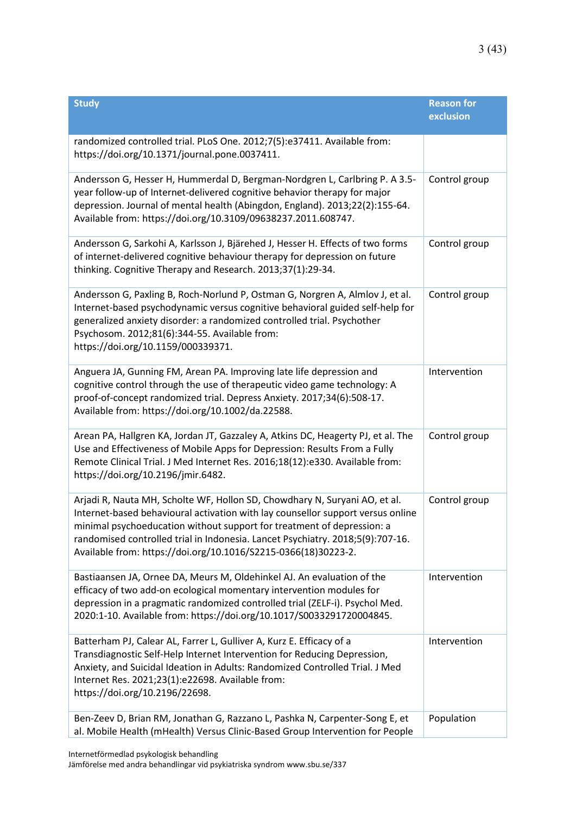| <b>Study</b>                                                                                                                                                                                                                                                                                                                                                                                | <b>Reason for</b><br>exclusion |
|---------------------------------------------------------------------------------------------------------------------------------------------------------------------------------------------------------------------------------------------------------------------------------------------------------------------------------------------------------------------------------------------|--------------------------------|
| randomized controlled trial. PLoS One. 2012;7(5):e37411. Available from:<br>https://doi.org/10.1371/journal.pone.0037411.                                                                                                                                                                                                                                                                   |                                |
| Andersson G, Hesser H, Hummerdal D, Bergman-Nordgren L, Carlbring P. A 3.5-<br>year follow-up of Internet-delivered cognitive behavior therapy for major<br>depression. Journal of mental health (Abingdon, England). 2013;22(2):155-64.<br>Available from: https://doi.org/10.3109/09638237.2011.608747.                                                                                   | Control group                  |
| Andersson G, Sarkohi A, Karlsson J, Bjärehed J, Hesser H. Effects of two forms<br>of internet-delivered cognitive behaviour therapy for depression on future<br>thinking. Cognitive Therapy and Research. 2013;37(1):29-34.                                                                                                                                                                 | Control group                  |
| Andersson G, Paxling B, Roch-Norlund P, Ostman G, Norgren A, Almlov J, et al.<br>Internet-based psychodynamic versus cognitive behavioral guided self-help for<br>generalized anxiety disorder: a randomized controlled trial. Psychother<br>Psychosom. 2012;81(6):344-55. Available from:<br>https://doi.org/10.1159/000339371.                                                            | Control group                  |
| Anguera JA, Gunning FM, Arean PA. Improving late life depression and<br>cognitive control through the use of therapeutic video game technology: A<br>proof-of-concept randomized trial. Depress Anxiety. 2017;34(6):508-17.<br>Available from: https://doi.org/10.1002/da.22588.                                                                                                            | Intervention                   |
| Arean PA, Hallgren KA, Jordan JT, Gazzaley A, Atkins DC, Heagerty PJ, et al. The<br>Use and Effectiveness of Mobile Apps for Depression: Results From a Fully<br>Remote Clinical Trial. J Med Internet Res. 2016;18(12):e330. Available from:<br>https://doi.org/10.2196/jmir.6482.                                                                                                         | Control group                  |
| Arjadi R, Nauta MH, Scholte WF, Hollon SD, Chowdhary N, Suryani AO, et al.<br>Internet-based behavioural activation with lay counsellor support versus online<br>minimal psychoeducation without support for treatment of depression: a<br>randomised controlled trial in Indonesia. Lancet Psychiatry. 2018;5(9):707-16.<br>Available from: https://doi.org/10.1016/S2215-0366(18)30223-2. | Control group                  |
| Bastiaansen JA, Ornee DA, Meurs M, Oldehinkel AJ. An evaluation of the<br>efficacy of two add-on ecological momentary intervention modules for<br>depression in a pragmatic randomized controlled trial (ZELF-i). Psychol Med.<br>2020:1-10. Available from: https://doi.org/10.1017/S0033291720004845.                                                                                     | Intervention                   |
| Batterham PJ, Calear AL, Farrer L, Gulliver A, Kurz E. Efficacy of a<br>Transdiagnostic Self-Help Internet Intervention for Reducing Depression,<br>Anxiety, and Suicidal Ideation in Adults: Randomized Controlled Trial. J Med<br>Internet Res. 2021;23(1):e22698. Available from:<br>https://doi.org/10.2196/22698.                                                                      | Intervention                   |
| Ben-Zeev D, Brian RM, Jonathan G, Razzano L, Pashka N, Carpenter-Song E, et<br>al. Mobile Health (mHealth) Versus Clinic-Based Group Intervention for People                                                                                                                                                                                                                                | Population                     |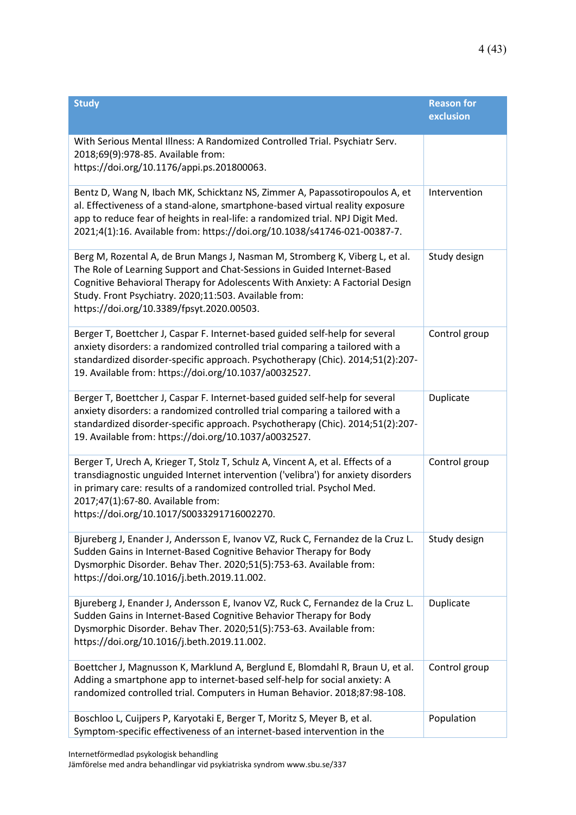| <b>Study</b>                                                                                                                                                                                                                                                                                                                                   | <b>Reason for</b><br>exclusion |
|------------------------------------------------------------------------------------------------------------------------------------------------------------------------------------------------------------------------------------------------------------------------------------------------------------------------------------------------|--------------------------------|
| With Serious Mental Illness: A Randomized Controlled Trial. Psychiatr Serv.<br>2018;69(9):978-85. Available from:<br>https://doi.org/10.1176/appi.ps.201800063.                                                                                                                                                                                |                                |
| Bentz D, Wang N, Ibach MK, Schicktanz NS, Zimmer A, Papassotiropoulos A, et<br>al. Effectiveness of a stand-alone, smartphone-based virtual reality exposure<br>app to reduce fear of heights in real-life: a randomized trial. NPJ Digit Med.<br>2021;4(1):16. Available from: https://doi.org/10.1038/s41746-021-00387-7.                    | Intervention                   |
| Berg M, Rozental A, de Brun Mangs J, Nasman M, Stromberg K, Viberg L, et al.<br>The Role of Learning Support and Chat-Sessions in Guided Internet-Based<br>Cognitive Behavioral Therapy for Adolescents With Anxiety: A Factorial Design<br>Study. Front Psychiatry. 2020;11:503. Available from:<br>https://doi.org/10.3389/fpsyt.2020.00503. | Study design                   |
| Berger T, Boettcher J, Caspar F. Internet-based guided self-help for several<br>anxiety disorders: a randomized controlled trial comparing a tailored with a<br>standardized disorder-specific approach. Psychotherapy (Chic). 2014;51(2):207-<br>19. Available from: https://doi.org/10.1037/a0032527.                                        | Control group                  |
| Berger T, Boettcher J, Caspar F. Internet-based guided self-help for several<br>anxiety disorders: a randomized controlled trial comparing a tailored with a<br>standardized disorder-specific approach. Psychotherapy (Chic). 2014;51(2):207-<br>19. Available from: https://doi.org/10.1037/a0032527.                                        | Duplicate                      |
| Berger T, Urech A, Krieger T, Stolz T, Schulz A, Vincent A, et al. Effects of a<br>transdiagnostic unguided Internet intervention ('velibra') for anxiety disorders<br>in primary care: results of a randomized controlled trial. Psychol Med.<br>2017;47(1):67-80. Available from:<br>https://doi.org/10.1017/S0033291716002270.              | Control group                  |
| Bjureberg J, Enander J, Andersson E, Ivanov VZ, Ruck C, Fernandez de la Cruz L.<br>Sudden Gains in Internet-Based Cognitive Behavior Therapy for Body<br>Dysmorphic Disorder. Behav Ther. 2020;51(5):753-63. Available from:<br>https://doi.org/10.1016/j.beth.2019.11.002.                                                                    | Study design                   |
| Bjureberg J, Enander J, Andersson E, Ivanov VZ, Ruck C, Fernandez de la Cruz L.<br>Sudden Gains in Internet-Based Cognitive Behavior Therapy for Body<br>Dysmorphic Disorder. Behav Ther. 2020;51(5):753-63. Available from:<br>https://doi.org/10.1016/j.beth.2019.11.002.                                                                    | Duplicate                      |
| Boettcher J, Magnusson K, Marklund A, Berglund E, Blomdahl R, Braun U, et al.<br>Adding a smartphone app to internet-based self-help for social anxiety: A<br>randomized controlled trial. Computers in Human Behavior. 2018;87:98-108.                                                                                                        | Control group                  |
| Boschloo L, Cuijpers P, Karyotaki E, Berger T, Moritz S, Meyer B, et al.<br>Symptom-specific effectiveness of an internet-based intervention in the                                                                                                                                                                                            | Population                     |

Internetförmedlad psykologisk behandling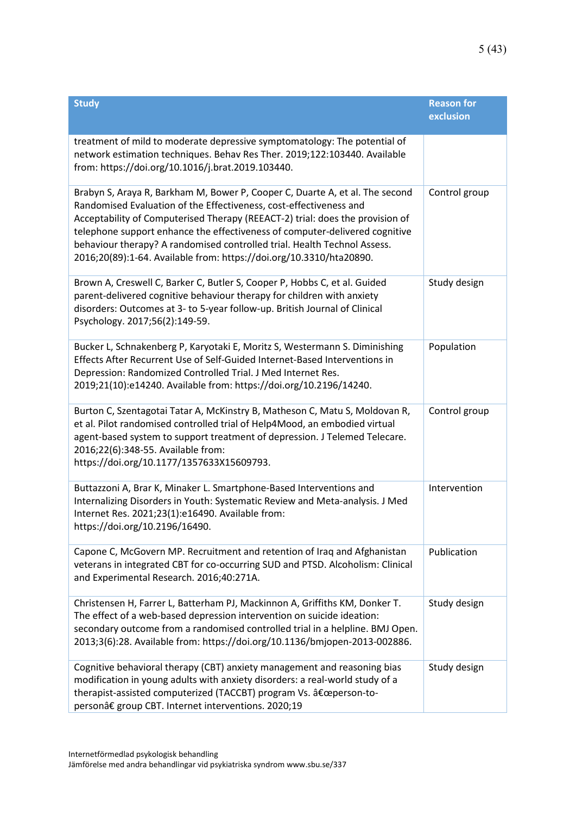| <b>Study</b>                                                                                                                                                                                                                                                                                                                                                                                                                                                          | <b>Reason for</b><br>exclusion |
|-----------------------------------------------------------------------------------------------------------------------------------------------------------------------------------------------------------------------------------------------------------------------------------------------------------------------------------------------------------------------------------------------------------------------------------------------------------------------|--------------------------------|
| treatment of mild to moderate depressive symptomatology: The potential of<br>network estimation techniques. Behav Res Ther. 2019;122:103440. Available<br>from: https://doi.org/10.1016/j.brat.2019.103440.                                                                                                                                                                                                                                                           |                                |
| Brabyn S, Araya R, Barkham M, Bower P, Cooper C, Duarte A, et al. The second<br>Randomised Evaluation of the Effectiveness, cost-effectiveness and<br>Acceptability of Computerised Therapy (REEACT-2) trial: does the provision of<br>telephone support enhance the effectiveness of computer-delivered cognitive<br>behaviour therapy? A randomised controlled trial. Health Technol Assess.<br>2016;20(89):1-64. Available from: https://doi.org/10.3310/hta20890. | Control group                  |
| Brown A, Creswell C, Barker C, Butler S, Cooper P, Hobbs C, et al. Guided<br>parent-delivered cognitive behaviour therapy for children with anxiety<br>disorders: Outcomes at 3- to 5-year follow-up. British Journal of Clinical<br>Psychology. 2017;56(2):149-59.                                                                                                                                                                                                   | Study design                   |
| Bucker L, Schnakenberg P, Karyotaki E, Moritz S, Westermann S. Diminishing<br>Effects After Recurrent Use of Self-Guided Internet-Based Interventions in<br>Depression: Randomized Controlled Trial. J Med Internet Res.<br>2019;21(10):e14240. Available from: https://doi.org/10.2196/14240.                                                                                                                                                                        | Population                     |
| Burton C, Szentagotai Tatar A, McKinstry B, Matheson C, Matu S, Moldovan R,<br>et al. Pilot randomised controlled trial of Help4Mood, an embodied virtual<br>agent-based system to support treatment of depression. J Telemed Telecare.<br>2016;22(6):348-55. Available from:<br>https://doi.org/10.1177/1357633X15609793.                                                                                                                                            | Control group                  |
| Buttazzoni A, Brar K, Minaker L. Smartphone-Based Interventions and<br>Internalizing Disorders in Youth: Systematic Review and Meta-analysis. J Med<br>Internet Res. 2021;23(1):e16490. Available from:<br>https://doi.org/10.2196/16490.                                                                                                                                                                                                                             | Intervention                   |
| Capone C, McGovern MP. Recruitment and retention of Iraq and Afghanistan<br>veterans in integrated CBT for co-occurring SUD and PTSD. Alcoholism: Clinical<br>and Experimental Research. 2016;40:271A.                                                                                                                                                                                                                                                                | Publication                    |
| Christensen H, Farrer L, Batterham PJ, Mackinnon A, Griffiths KM, Donker T.<br>The effect of a web-based depression intervention on suicide ideation:<br>secondary outcome from a randomised controlled trial in a helpline. BMJ Open.<br>2013;3(6):28. Available from: https://doi.org/10.1136/bmjopen-2013-002886.                                                                                                                                                  | Study design                   |
| Cognitive behavioral therapy (CBT) anxiety management and reasoning bias<br>modification in young adults with anxiety disorders: a real-world study of a<br>therapist-assisted computerized (TACCBT) program Vs. "person-to-<br>person†group CBT. Internet interventions. 2020;19                                                                                                                                                                                     | Study design                   |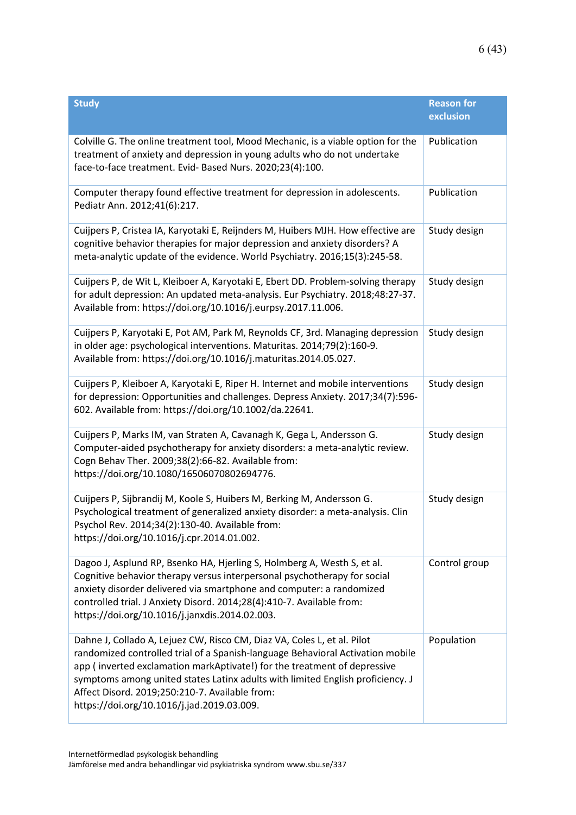| <b>Study</b>                                                                                                                                                                                                                                                                                                                                                                                                            | <b>Reason for</b><br>exclusion |
|-------------------------------------------------------------------------------------------------------------------------------------------------------------------------------------------------------------------------------------------------------------------------------------------------------------------------------------------------------------------------------------------------------------------------|--------------------------------|
| Colville G. The online treatment tool, Mood Mechanic, is a viable option for the<br>treatment of anxiety and depression in young adults who do not undertake<br>face-to-face treatment. Evid- Based Nurs. 2020;23(4):100.                                                                                                                                                                                               | Publication                    |
| Computer therapy found effective treatment for depression in adolescents.<br>Pediatr Ann. 2012;41(6):217.                                                                                                                                                                                                                                                                                                               | Publication                    |
| Cuijpers P, Cristea IA, Karyotaki E, Reijnders M, Huibers MJH. How effective are<br>cognitive behavior therapies for major depression and anxiety disorders? A<br>meta-analytic update of the evidence. World Psychiatry. 2016;15(3):245-58.                                                                                                                                                                            | Study design                   |
| Cuijpers P, de Wit L, Kleiboer A, Karyotaki E, Ebert DD. Problem-solving therapy<br>for adult depression: An updated meta-analysis. Eur Psychiatry. 2018;48:27-37.<br>Available from: https://doi.org/10.1016/j.eurpsy.2017.11.006.                                                                                                                                                                                     | Study design                   |
| Cuijpers P, Karyotaki E, Pot AM, Park M, Reynolds CF, 3rd. Managing depression<br>in older age: psychological interventions. Maturitas. 2014;79(2):160-9.<br>Available from: https://doi.org/10.1016/j.maturitas.2014.05.027.                                                                                                                                                                                           | Study design                   |
| Cuijpers P, Kleiboer A, Karyotaki E, Riper H. Internet and mobile interventions<br>for depression: Opportunities and challenges. Depress Anxiety. 2017;34(7):596-<br>602. Available from: https://doi.org/10.1002/da.22641.                                                                                                                                                                                             | Study design                   |
| Cuijpers P, Marks IM, van Straten A, Cavanagh K, Gega L, Andersson G.<br>Computer-aided psychotherapy for anxiety disorders: a meta-analytic review.<br>Cogn Behav Ther. 2009;38(2):66-82. Available from:<br>https://doi.org/10.1080/16506070802694776.                                                                                                                                                                | Study design                   |
| Cuijpers P, Sijbrandij M, Koole S, Huibers M, Berking M, Andersson G.<br>Psychological treatment of generalized anxiety disorder: a meta-analysis. Clin<br>Psychol Rev. 2014;34(2):130-40. Available from:<br>https://doi.org/10.1016/j.cpr.2014.01.002.                                                                                                                                                                | Study design                   |
| Dagoo J, Asplund RP, Bsenko HA, Hjerling S, Holmberg A, Westh S, et al.<br>Cognitive behavior therapy versus interpersonal psychotherapy for social<br>anxiety disorder delivered via smartphone and computer: a randomized<br>controlled trial. J Anxiety Disord. 2014;28(4):410-7. Available from:<br>https://doi.org/10.1016/j.janxdis.2014.02.003.                                                                  | Control group                  |
| Dahne J, Collado A, Lejuez CW, Risco CM, Diaz VA, Coles L, et al. Pilot<br>randomized controlled trial of a Spanish-language Behavioral Activation mobile<br>app (inverted exclamation markAptivate!) for the treatment of depressive<br>symptoms among united states Latinx adults with limited English proficiency. J<br>Affect Disord. 2019;250:210-7. Available from:<br>https://doi.org/10.1016/j.jad.2019.03.009. | Population                     |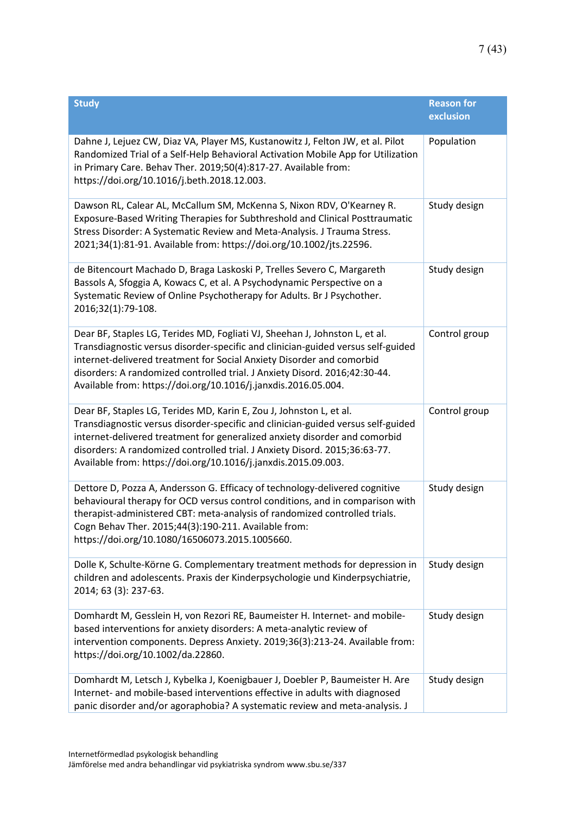| <b>Study</b>                                                                                                                                                                                                                                                                                                                                                                             | <b>Reason for</b><br>exclusion |
|------------------------------------------------------------------------------------------------------------------------------------------------------------------------------------------------------------------------------------------------------------------------------------------------------------------------------------------------------------------------------------------|--------------------------------|
| Dahne J, Lejuez CW, Diaz VA, Player MS, Kustanowitz J, Felton JW, et al. Pilot<br>Randomized Trial of a Self-Help Behavioral Activation Mobile App for Utilization<br>in Primary Care. Behav Ther. 2019;50(4):817-27. Available from:<br>https://doi.org/10.1016/j.beth.2018.12.003.                                                                                                     | Population                     |
| Dawson RL, Calear AL, McCallum SM, McKenna S, Nixon RDV, O'Kearney R.<br>Exposure-Based Writing Therapies for Subthreshold and Clinical Posttraumatic<br>Stress Disorder: A Systematic Review and Meta-Analysis. J Trauma Stress.<br>2021;34(1):81-91. Available from: https://doi.org/10.1002/jts.22596.                                                                                | Study design                   |
| de Bitencourt Machado D, Braga Laskoski P, Trelles Severo C, Margareth<br>Bassols A, Sfoggia A, Kowacs C, et al. A Psychodynamic Perspective on a<br>Systematic Review of Online Psychotherapy for Adults. Br J Psychother.<br>2016;32(1):79-108.                                                                                                                                        | Study design                   |
| Dear BF, Staples LG, Terides MD, Fogliati VJ, Sheehan J, Johnston L, et al.<br>Transdiagnostic versus disorder-specific and clinician-guided versus self-guided<br>internet-delivered treatment for Social Anxiety Disorder and comorbid<br>disorders: A randomized controlled trial. J Anxiety Disord. 2016;42:30-44.<br>Available from: https://doi.org/10.1016/j.janxdis.2016.05.004. | Control group                  |
| Dear BF, Staples LG, Terides MD, Karin E, Zou J, Johnston L, et al.<br>Transdiagnostic versus disorder-specific and clinician-guided versus self-guided<br>internet-delivered treatment for generalized anxiety disorder and comorbid<br>disorders: A randomized controlled trial. J Anxiety Disord. 2015;36:63-77.<br>Available from: https://doi.org/10.1016/j.janxdis.2015.09.003.    | Control group                  |
| Dettore D, Pozza A, Andersson G. Efficacy of technology-delivered cognitive<br>behavioural therapy for OCD versus control conditions, and in comparison with<br>therapist-administered CBT: meta-analysis of randomized controlled trials.<br>Cogn Behav Ther. 2015;44(3):190-211. Available from:<br>https://doi.org/10.1080/16506073.2015.1005660.                                     | Study design                   |
| Dolle K, Schulte-Körne G. Complementary treatment methods for depression in<br>children and adolescents. Praxis der Kinderpsychologie und Kinderpsychiatrie,<br>2014; 63 (3): 237-63.                                                                                                                                                                                                    | Study design                   |
| Domhardt M, Gesslein H, von Rezori RE, Baumeister H. Internet- and mobile-<br>based interventions for anxiety disorders: A meta-analytic review of<br>intervention components. Depress Anxiety. 2019;36(3):213-24. Available from:<br>https://doi.org/10.1002/da.22860.                                                                                                                  | Study design                   |
| Domhardt M, Letsch J, Kybelka J, Koenigbauer J, Doebler P, Baumeister H. Are<br>Internet- and mobile-based interventions effective in adults with diagnosed<br>panic disorder and/or agoraphobia? A systematic review and meta-analysis. J                                                                                                                                               | Study design                   |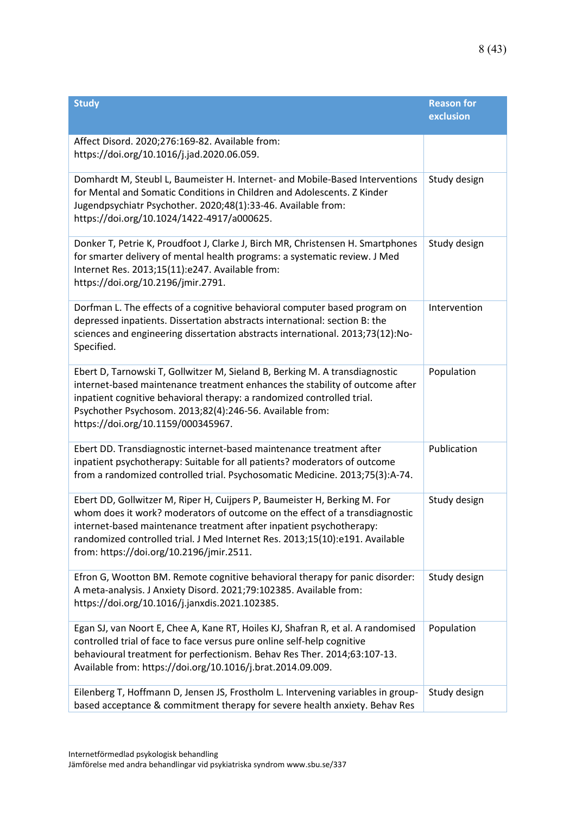| <b>Study</b>                                                                                                                                                                                                                                                                                                                                                | <b>Reason for</b><br>exclusion |
|-------------------------------------------------------------------------------------------------------------------------------------------------------------------------------------------------------------------------------------------------------------------------------------------------------------------------------------------------------------|--------------------------------|
| Affect Disord. 2020;276:169-82. Available from:<br>https://doi.org/10.1016/j.jad.2020.06.059.                                                                                                                                                                                                                                                               |                                |
| Domhardt M, Steubl L, Baumeister H. Internet- and Mobile-Based Interventions<br>for Mental and Somatic Conditions in Children and Adolescents. Z Kinder<br>Jugendpsychiatr Psychother. 2020;48(1):33-46. Available from:<br>https://doi.org/10.1024/1422-4917/a000625.                                                                                      | Study design                   |
| Donker T, Petrie K, Proudfoot J, Clarke J, Birch MR, Christensen H. Smartphones<br>for smarter delivery of mental health programs: a systematic review. J Med<br>Internet Res. 2013;15(11):e247. Available from:<br>https://doi.org/10.2196/jmir.2791.                                                                                                      | Study design                   |
| Dorfman L. The effects of a cognitive behavioral computer based program on<br>depressed inpatients. Dissertation abstracts international: section B: the<br>sciences and engineering dissertation abstracts international. 2013;73(12):No-<br>Specified.                                                                                                    | Intervention                   |
| Ebert D, Tarnowski T, Gollwitzer M, Sieland B, Berking M. A transdiagnostic<br>internet-based maintenance treatment enhances the stability of outcome after<br>inpatient cognitive behavioral therapy: a randomized controlled trial.<br>Psychother Psychosom. 2013;82(4):246-56. Available from:<br>https://doi.org/10.1159/000345967.                     | Population                     |
| Ebert DD. Transdiagnostic internet-based maintenance treatment after<br>inpatient psychotherapy: Suitable for all patients? moderators of outcome<br>from a randomized controlled trial. Psychosomatic Medicine. 2013;75(3):A-74.                                                                                                                           | Publication                    |
| Ebert DD, Gollwitzer M, Riper H, Cuijpers P, Baumeister H, Berking M. For<br>whom does it work? moderators of outcome on the effect of a transdiagnostic<br>internet-based maintenance treatment after inpatient psychotherapy:<br>randomized controlled trial. J Med Internet Res. 2013;15(10):e191. Available<br>from: https://doi.org/10.2196/jmir.2511. | Study design                   |
| Efron G, Wootton BM. Remote cognitive behavioral therapy for panic disorder:<br>A meta-analysis. J Anxiety Disord. 2021;79:102385. Available from:<br>https://doi.org/10.1016/j.janxdis.2021.102385.                                                                                                                                                        | Study design                   |
| Egan SJ, van Noort E, Chee A, Kane RT, Hoiles KJ, Shafran R, et al. A randomised<br>controlled trial of face to face versus pure online self-help cognitive<br>behavioural treatment for perfectionism. Behav Res Ther. 2014;63:107-13.<br>Available from: https://doi.org/10.1016/j.brat.2014.09.009.                                                      | Population                     |
| Eilenberg T, Hoffmann D, Jensen JS, Frostholm L. Intervening variables in group-<br>based acceptance & commitment therapy for severe health anxiety. Behav Res                                                                                                                                                                                              | Study design                   |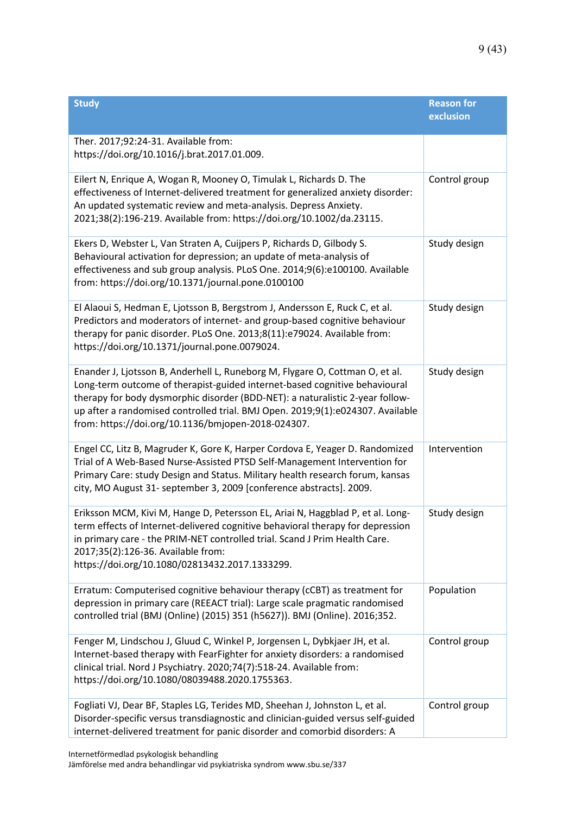| <b>Study</b>                                                                                                                                                                                                                                                                                                                                                                        | <b>Reason for</b><br>exclusion |
|-------------------------------------------------------------------------------------------------------------------------------------------------------------------------------------------------------------------------------------------------------------------------------------------------------------------------------------------------------------------------------------|--------------------------------|
| Ther. 2017;92:24-31. Available from:<br>https://doi.org/10.1016/j.brat.2017.01.009.                                                                                                                                                                                                                                                                                                 |                                |
| Eilert N, Enrique A, Wogan R, Mooney O, Timulak L, Richards D. The<br>effectiveness of Internet-delivered treatment for generalized anxiety disorder:<br>An updated systematic review and meta-analysis. Depress Anxiety.<br>2021;38(2):196-219. Available from: https://doi.org/10.1002/da.23115.                                                                                  | Control group                  |
| Ekers D, Webster L, Van Straten A, Cuijpers P, Richards D, Gilbody S.<br>Behavioural activation for depression; an update of meta-analysis of<br>effectiveness and sub group analysis. PLoS One. 2014;9(6):e100100. Available<br>from: https://doi.org/10.1371/journal.pone.0100100                                                                                                 | Study design                   |
| El Alaoui S, Hedman E, Ljotsson B, Bergstrom J, Andersson E, Ruck C, et al.<br>Predictors and moderators of internet- and group-based cognitive behaviour<br>therapy for panic disorder. PLoS One. 2013;8(11):e79024. Available from:<br>https://doi.org/10.1371/journal.pone.0079024.                                                                                              | Study design                   |
| Enander J, Ljotsson B, Anderhell L, Runeborg M, Flygare O, Cottman O, et al.<br>Long-term outcome of therapist-guided internet-based cognitive behavioural<br>therapy for body dysmorphic disorder (BDD-NET): a naturalistic 2-year follow-<br>up after a randomised controlled trial. BMJ Open. 2019;9(1):e024307. Available<br>from: https://doi.org/10.1136/bmjopen-2018-024307. | Study design                   |
| Engel CC, Litz B, Magruder K, Gore K, Harper Cordova E, Yeager D. Randomized<br>Trial of A Web-Based Nurse-Assisted PTSD Self-Management Intervention for<br>Primary Care: study Design and Status. Military health research forum, kansas<br>city, MO August 31- september 3, 2009 [conference abstracts]. 2009.                                                                   | Intervention                   |
| Eriksson MCM, Kivi M, Hange D, Petersson EL, Ariai N, Haggblad P, et al. Long-<br>term effects of Internet-delivered cognitive behavioral therapy for depression<br>in primary care - the PRIM-NET controlled trial. Scand J Prim Health Care.<br>2017;35(2):126-36. Available from:<br>https://doi.org/10.1080/02813432.2017.1333299.                                              | Study design                   |
| Erratum: Computerised cognitive behaviour therapy (cCBT) as treatment for<br>depression in primary care (REEACT trial): Large scale pragmatic randomised<br>controlled trial (BMJ (Online) (2015) 351 (h5627)). BMJ (Online). 2016;352.                                                                                                                                             | Population                     |
| Fenger M, Lindschou J, Gluud C, Winkel P, Jorgensen L, Dybkjaer JH, et al.<br>Internet-based therapy with FearFighter for anxiety disorders: a randomised<br>clinical trial. Nord J Psychiatry. 2020;74(7):518-24. Available from:<br>https://doi.org/10.1080/08039488.2020.1755363.                                                                                                | Control group                  |
| Fogliati VJ, Dear BF, Staples LG, Terides MD, Sheehan J, Johnston L, et al.<br>Disorder-specific versus transdiagnostic and clinician-guided versus self-guided<br>internet-delivered treatment for panic disorder and comorbid disorders: A                                                                                                                                        | Control group                  |

Internetförmedlad psykologisk behandling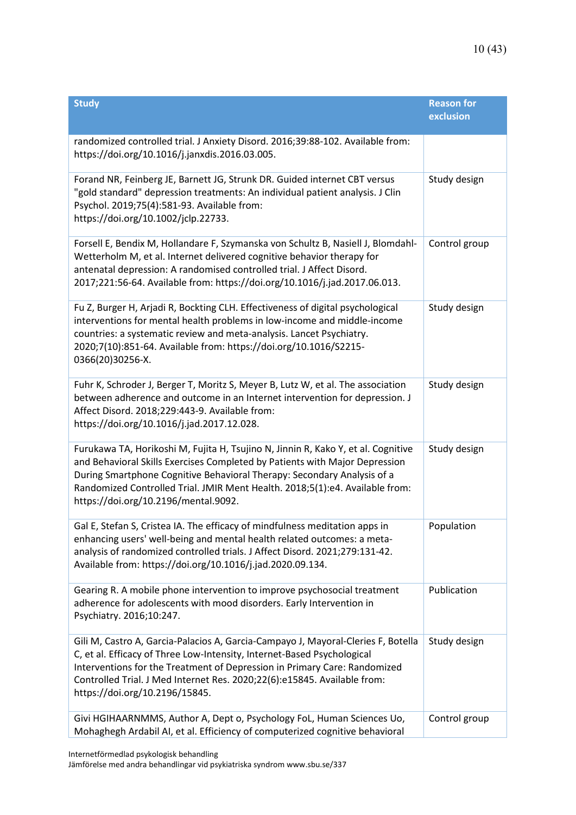| <b>Study</b>                                                                                                                                                                                                                                                                                                                                                        | <b>Reason for</b><br>exclusion |
|---------------------------------------------------------------------------------------------------------------------------------------------------------------------------------------------------------------------------------------------------------------------------------------------------------------------------------------------------------------------|--------------------------------|
| randomized controlled trial. J Anxiety Disord. 2016;39:88-102. Available from:<br>https://doi.org/10.1016/j.janxdis.2016.03.005.                                                                                                                                                                                                                                    |                                |
| Forand NR, Feinberg JE, Barnett JG, Strunk DR. Guided internet CBT versus<br>"gold standard" depression treatments: An individual patient analysis. J Clin<br>Psychol. 2019;75(4):581-93. Available from:<br>https://doi.org/10.1002/jclp.22733.                                                                                                                    | Study design                   |
| Forsell E, Bendix M, Hollandare F, Szymanska von Schultz B, Nasiell J, Blomdahl-<br>Wetterholm M, et al. Internet delivered cognitive behavior therapy for<br>antenatal depression: A randomised controlled trial. J Affect Disord.<br>2017;221:56-64. Available from: https://doi.org/10.1016/j.jad.2017.06.013.                                                   | Control group                  |
| Fu Z, Burger H, Arjadi R, Bockting CLH. Effectiveness of digital psychological<br>interventions for mental health problems in low-income and middle-income<br>countries: a systematic review and meta-analysis. Lancet Psychiatry.<br>2020;7(10):851-64. Available from: https://doi.org/10.1016/S2215-<br>0366(20)30256-X.                                         | Study design                   |
| Fuhr K, Schroder J, Berger T, Moritz S, Meyer B, Lutz W, et al. The association<br>between adherence and outcome in an Internet intervention for depression. J<br>Affect Disord. 2018;229:443-9. Available from:<br>https://doi.org/10.1016/j.jad.2017.12.028.                                                                                                      | Study design                   |
| Furukawa TA, Horikoshi M, Fujita H, Tsujino N, Jinnin R, Kako Y, et al. Cognitive<br>and Behavioral Skills Exercises Completed by Patients with Major Depression<br>During Smartphone Cognitive Behavioral Therapy: Secondary Analysis of a<br>Randomized Controlled Trial. JMIR Ment Health. 2018;5(1):e4. Available from:<br>https://doi.org/10.2196/mental.9092. | Study design                   |
| Gal E, Stefan S, Cristea IA. The efficacy of mindfulness meditation apps in<br>enhancing users' well-being and mental health related outcomes: a meta-<br>analysis of randomized controlled trials. J Affect Disord. 2021;279:131-42.<br>Available from: https://doi.org/10.1016/j.jad.2020.09.134.                                                                 | Population                     |
| Gearing R. A mobile phone intervention to improve psychosocial treatment<br>adherence for adolescents with mood disorders. Early Intervention in<br>Psychiatry. 2016;10:247.                                                                                                                                                                                        | Publication                    |
| Gili M, Castro A, Garcia-Palacios A, Garcia-Campayo J, Mayoral-Cleries F, Botella<br>C, et al. Efficacy of Three Low-Intensity, Internet-Based Psychological<br>Interventions for the Treatment of Depression in Primary Care: Randomized<br>Controlled Trial. J Med Internet Res. 2020;22(6):e15845. Available from:<br>https://doi.org/10.2196/15845.             | Study design                   |
| Givi HGIHAARNMMS, Author A, Dept o, Psychology FoL, Human Sciences Uo,<br>Mohaghegh Ardabil AI, et al. Efficiency of computerized cognitive behavioral                                                                                                                                                                                                              | Control group                  |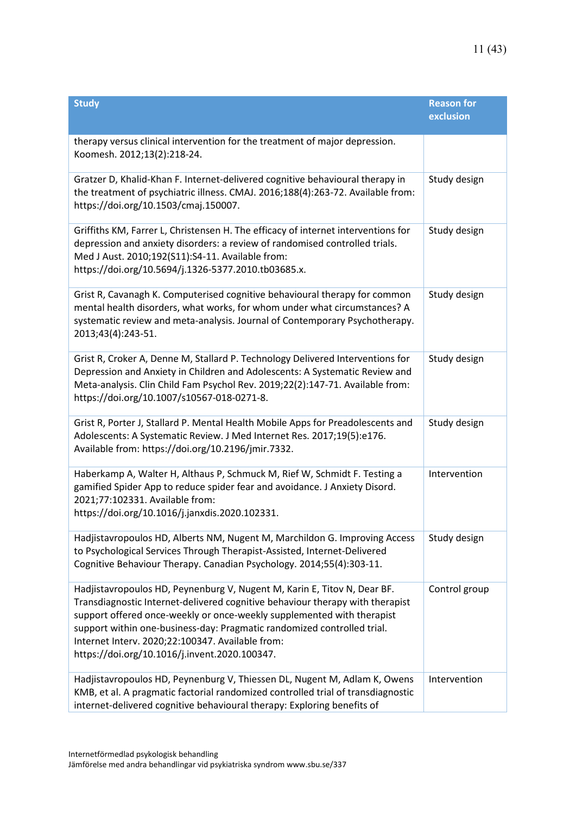| <b>Study</b>                                                                                                                                                                                                                                                                                                                                                                                                        | <b>Reason for</b><br>exclusion |
|---------------------------------------------------------------------------------------------------------------------------------------------------------------------------------------------------------------------------------------------------------------------------------------------------------------------------------------------------------------------------------------------------------------------|--------------------------------|
| therapy versus clinical intervention for the treatment of major depression.<br>Koomesh. 2012;13(2):218-24.                                                                                                                                                                                                                                                                                                          |                                |
| Gratzer D, Khalid-Khan F. Internet-delivered cognitive behavioural therapy in<br>the treatment of psychiatric illness. CMAJ. 2016;188(4):263-72. Available from:<br>https://doi.org/10.1503/cmaj.150007.                                                                                                                                                                                                            | Study design                   |
| Griffiths KM, Farrer L, Christensen H. The efficacy of internet interventions for<br>depression and anxiety disorders: a review of randomised controlled trials.<br>Med J Aust. 2010;192(S11):S4-11. Available from:<br>https://doi.org/10.5694/j.1326-5377.2010.tb03685.x.                                                                                                                                         | Study design                   |
| Grist R, Cavanagh K. Computerised cognitive behavioural therapy for common<br>mental health disorders, what works, for whom under what circumstances? A<br>systematic review and meta-analysis. Journal of Contemporary Psychotherapy.<br>2013;43(4):243-51.                                                                                                                                                        | Study design                   |
| Grist R, Croker A, Denne M, Stallard P. Technology Delivered Interventions for<br>Depression and Anxiety in Children and Adolescents: A Systematic Review and<br>Meta-analysis. Clin Child Fam Psychol Rev. 2019;22(2):147-71. Available from:<br>https://doi.org/10.1007/s10567-018-0271-8.                                                                                                                        | Study design                   |
| Grist R, Porter J, Stallard P. Mental Health Mobile Apps for Preadolescents and<br>Adolescents: A Systematic Review. J Med Internet Res. 2017;19(5):e176.<br>Available from: https://doi.org/10.2196/jmir.7332.                                                                                                                                                                                                     | Study design                   |
| Haberkamp A, Walter H, Althaus P, Schmuck M, Rief W, Schmidt F. Testing a<br>gamified Spider App to reduce spider fear and avoidance. J Anxiety Disord.<br>2021;77:102331. Available from:<br>https://doi.org/10.1016/j.janxdis.2020.102331.                                                                                                                                                                        | Intervention                   |
| Hadjistavropoulos HD, Alberts NM, Nugent M, Marchildon G. Improving Access<br>to Psychological Services Through Therapist-Assisted, Internet-Delivered<br>Cognitive Behaviour Therapy. Canadian Psychology. 2014;55(4):303-11.                                                                                                                                                                                      | Study design                   |
| Hadjistavropoulos HD, Peynenburg V, Nugent M, Karin E, Titov N, Dear BF.<br>Transdiagnostic Internet-delivered cognitive behaviour therapy with therapist<br>support offered once-weekly or once-weekly supplemented with therapist<br>support within one-business-day: Pragmatic randomized controlled trial.<br>Internet Interv. 2020;22:100347. Available from:<br>https://doi.org/10.1016/j.invent.2020.100347. | Control group                  |
| Hadjistavropoulos HD, Peynenburg V, Thiessen DL, Nugent M, Adlam K, Owens<br>KMB, et al. A pragmatic factorial randomized controlled trial of transdiagnostic<br>internet-delivered cognitive behavioural therapy: Exploring benefits of                                                                                                                                                                            | Intervention                   |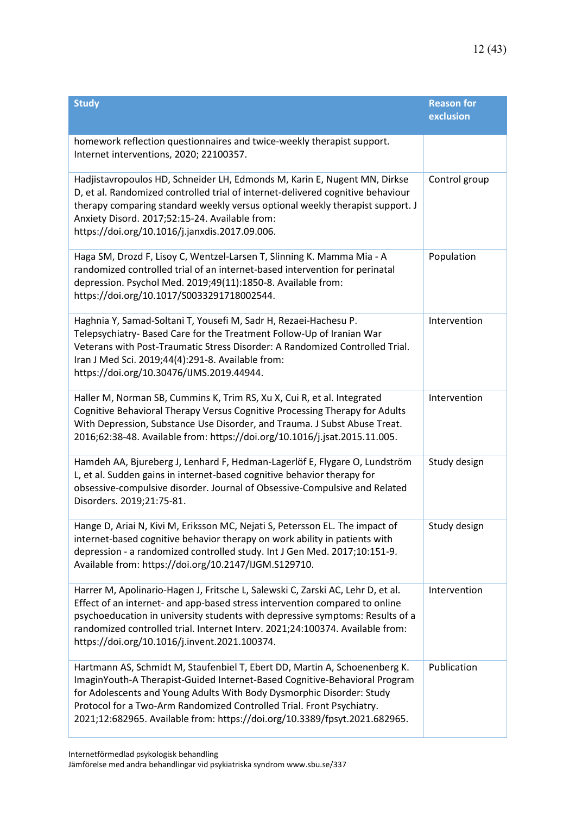| <b>Study</b>                                                                                                                                                                                                                                                                                                                                                                             | <b>Reason for</b><br>exclusion |
|------------------------------------------------------------------------------------------------------------------------------------------------------------------------------------------------------------------------------------------------------------------------------------------------------------------------------------------------------------------------------------------|--------------------------------|
| homework reflection questionnaires and twice-weekly therapist support.<br>Internet interventions, 2020; 22100357.                                                                                                                                                                                                                                                                        |                                |
| Hadjistavropoulos HD, Schneider LH, Edmonds M, Karin E, Nugent MN, Dirkse<br>D, et al. Randomized controlled trial of internet-delivered cognitive behaviour<br>therapy comparing standard weekly versus optional weekly therapist support. J<br>Anxiety Disord. 2017;52:15-24. Available from:<br>https://doi.org/10.1016/j.janxdis.2017.09.006.                                        | Control group                  |
| Haga SM, Drozd F, Lisoy C, Wentzel-Larsen T, Slinning K. Mamma Mia - A<br>randomized controlled trial of an internet-based intervention for perinatal<br>depression. Psychol Med. 2019;49(11):1850-8. Available from:<br>https://doi.org/10.1017/S0033291718002544.                                                                                                                      | Population                     |
| Haghnia Y, Samad-Soltani T, Yousefi M, Sadr H, Rezaei-Hachesu P.<br>Telepsychiatry- Based Care for the Treatment Follow-Up of Iranian War<br>Veterans with Post-Traumatic Stress Disorder: A Randomized Controlled Trial.<br>Iran J Med Sci. 2019;44(4):291-8. Available from:<br>https://doi.org/10.30476/IJMS.2019.44944.                                                              | Intervention                   |
| Haller M, Norman SB, Cummins K, Trim RS, Xu X, Cui R, et al. Integrated<br>Cognitive Behavioral Therapy Versus Cognitive Processing Therapy for Adults<br>With Depression, Substance Use Disorder, and Trauma. J Subst Abuse Treat.<br>2016;62:38-48. Available from: https://doi.org/10.1016/j.jsat.2015.11.005.                                                                        | Intervention                   |
| Hamdeh AA, Bjureberg J, Lenhard F, Hedman-Lagerlöf E, Flygare O, Lundström<br>L, et al. Sudden gains in internet-based cognitive behavior therapy for<br>obsessive-compulsive disorder. Journal of Obsessive-Compulsive and Related<br>Disorders. 2019;21:75-81.                                                                                                                         | Study design                   |
| Hange D, Ariai N, Kivi M, Eriksson MC, Nejati S, Petersson EL. The impact of<br>internet-based cognitive behavior therapy on work ability in patients with<br>depression - a randomized controlled study. Int J Gen Med. 2017;10:151-9.<br>Available from: https://doi.org/10.2147/IJGM.S129710.                                                                                         | Study design                   |
| Harrer M, Apolinario-Hagen J, Fritsche L, Salewski C, Zarski AC, Lehr D, et al.<br>Effect of an internet- and app-based stress intervention compared to online<br>psychoeducation in university students with depressive symptoms: Results of a<br>randomized controlled trial. Internet Interv. 2021;24:100374. Available from:<br>https://doi.org/10.1016/j.invent.2021.100374.        | Intervention                   |
| Hartmann AS, Schmidt M, Staufenbiel T, Ebert DD, Martin A, Schoenenberg K.<br>ImaginYouth-A Therapist-Guided Internet-Based Cognitive-Behavioral Program<br>for Adolescents and Young Adults With Body Dysmorphic Disorder: Study<br>Protocol for a Two-Arm Randomized Controlled Trial. Front Psychiatry.<br>2021;12:682965. Available from: https://doi.org/10.3389/fpsyt.2021.682965. | Publication                    |

Internetförmedlad psykologisk behandling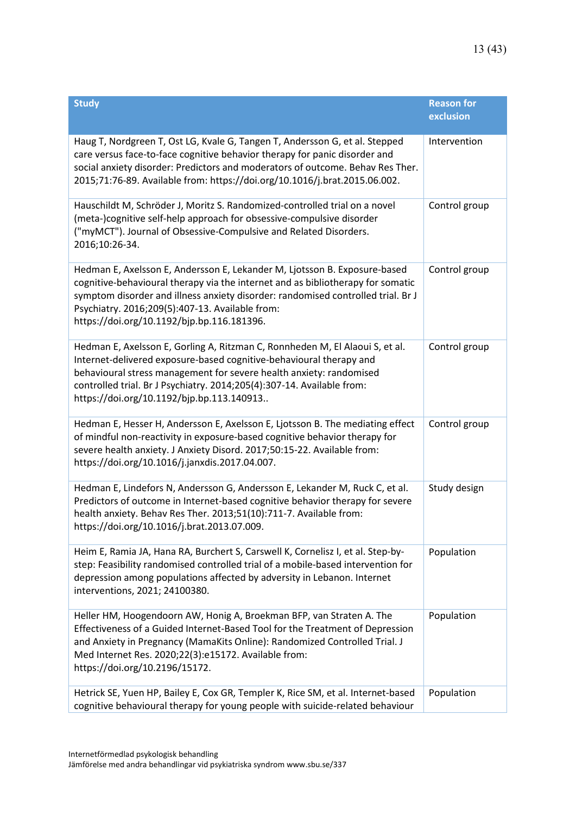| <b>Study</b>                                                                                                                                                                                                                                                                                                                                      | <b>Reason for</b><br>exclusion |
|---------------------------------------------------------------------------------------------------------------------------------------------------------------------------------------------------------------------------------------------------------------------------------------------------------------------------------------------------|--------------------------------|
| Haug T, Nordgreen T, Ost LG, Kvale G, Tangen T, Andersson G, et al. Stepped<br>care versus face-to-face cognitive behavior therapy for panic disorder and<br>social anxiety disorder: Predictors and moderators of outcome. Behav Res Ther.<br>2015;71:76-89. Available from: https://doi.org/10.1016/j.brat.2015.06.002.                         | Intervention                   |
| Hauschildt M, Schröder J, Moritz S. Randomized-controlled trial on a novel<br>(meta-)cognitive self-help approach for obsessive-compulsive disorder<br>("myMCT"). Journal of Obsessive-Compulsive and Related Disorders.<br>2016;10:26-34.                                                                                                        | Control group                  |
| Hedman E, Axelsson E, Andersson E, Lekander M, Ljotsson B. Exposure-based<br>cognitive-behavioural therapy via the internet and as bibliotherapy for somatic<br>symptom disorder and illness anxiety disorder: randomised controlled trial. Br J<br>Psychiatry. 2016;209(5):407-13. Available from:<br>https://doi.org/10.1192/bjp.bp.116.181396. | Control group                  |
| Hedman E, Axelsson E, Gorling A, Ritzman C, Ronnheden M, El Alaoui S, et al.<br>Internet-delivered exposure-based cognitive-behavioural therapy and<br>behavioural stress management for severe health anxiety: randomised<br>controlled trial. Br J Psychiatry. 2014;205(4):307-14. Available from:<br>https://doi.org/10.1192/bjp.bp.113.140913 | Control group                  |
| Hedman E, Hesser H, Andersson E, Axelsson E, Ljotsson B. The mediating effect<br>of mindful non-reactivity in exposure-based cognitive behavior therapy for<br>severe health anxiety. J Anxiety Disord. 2017;50:15-22. Available from:<br>https://doi.org/10.1016/j.janxdis.2017.04.007.                                                          | Control group                  |
| Hedman E, Lindefors N, Andersson G, Andersson E, Lekander M, Ruck C, et al.<br>Predictors of outcome in Internet-based cognitive behavior therapy for severe<br>health anxiety. Behav Res Ther. 2013;51(10):711-7. Available from:<br>https://doi.org/10.1016/j.brat.2013.07.009.                                                                 | Study design                   |
| Heim E, Ramia JA, Hana RA, Burchert S, Carswell K, Cornelisz I, et al. Step-by-<br>step: Feasibility randomised controlled trial of a mobile-based intervention for<br>depression among populations affected by adversity in Lebanon. Internet<br>interventions, 2021; 24100380.                                                                  | Population                     |
| Heller HM, Hoogendoorn AW, Honig A, Broekman BFP, van Straten A. The<br>Effectiveness of a Guided Internet-Based Tool for the Treatment of Depression<br>and Anxiety in Pregnancy (MamaKits Online): Randomized Controlled Trial. J<br>Med Internet Res. 2020;22(3):e15172. Available from:<br>https://doi.org/10.2196/15172.                     | Population                     |
| Hetrick SE, Yuen HP, Bailey E, Cox GR, Templer K, Rice SM, et al. Internet-based<br>cognitive behavioural therapy for young people with suicide-related behaviour                                                                                                                                                                                 | Population                     |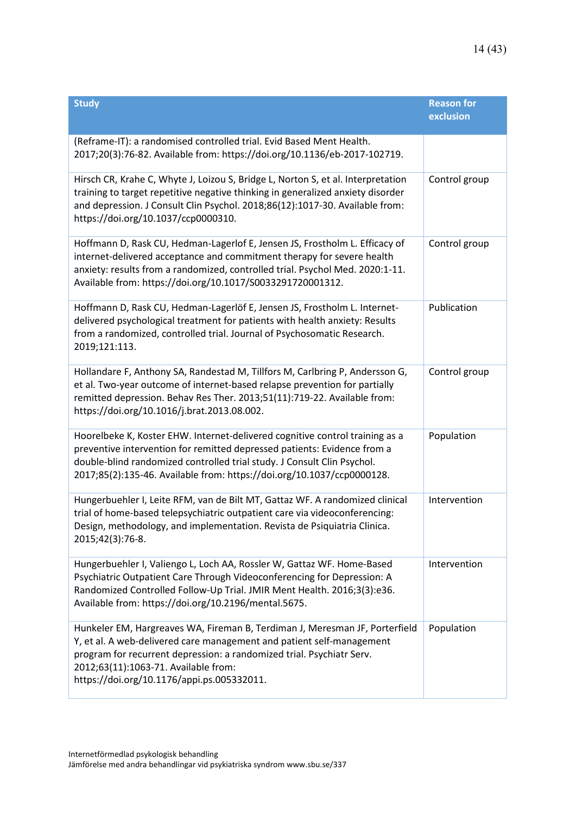| <b>Study</b>                                                                                                                                                                                                                                                                                                        | <b>Reason for</b><br>exclusion |
|---------------------------------------------------------------------------------------------------------------------------------------------------------------------------------------------------------------------------------------------------------------------------------------------------------------------|--------------------------------|
| (Reframe-IT): a randomised controlled trial. Evid Based Ment Health.<br>2017;20(3):76-82. Available from: https://doi.org/10.1136/eb-2017-102719.                                                                                                                                                                   |                                |
| Hirsch CR, Krahe C, Whyte J, Loizou S, Bridge L, Norton S, et al. Interpretation<br>training to target repetitive negative thinking in generalized anxiety disorder<br>and depression. J Consult Clin Psychol. 2018;86(12):1017-30. Available from:<br>https://doi.org/10.1037/ccp0000310.                          | Control group                  |
| Hoffmann D, Rask CU, Hedman-Lagerlof E, Jensen JS, Frostholm L. Efficacy of<br>internet-delivered acceptance and commitment therapy for severe health<br>anxiety: results from a randomized, controlled trial. Psychol Med. 2020:1-11.<br>Available from: https://doi.org/10.1017/S0033291720001312.                | Control group                  |
| Hoffmann D, Rask CU, Hedman-Lagerlöf E, Jensen JS, Frostholm L. Internet-<br>delivered psychological treatment for patients with health anxiety: Results<br>from a randomized, controlled trial. Journal of Psychosomatic Research.<br>2019;121:113.                                                                | Publication                    |
| Hollandare F, Anthony SA, Randestad M, Tillfors M, Carlbring P, Andersson G,<br>et al. Two-year outcome of internet-based relapse prevention for partially<br>remitted depression. Behav Res Ther. 2013;51(11):719-22. Available from:<br>https://doi.org/10.1016/j.brat.2013.08.002.                               | Control group                  |
| Hoorelbeke K, Koster EHW. Internet-delivered cognitive control training as a<br>preventive intervention for remitted depressed patients: Evidence from a<br>double-blind randomized controlled trial study. J Consult Clin Psychol.<br>2017;85(2):135-46. Available from: https://doi.org/10.1037/ccp0000128.       | Population                     |
| Hungerbuehler I, Leite RFM, van de Bilt MT, Gattaz WF. A randomized clinical<br>trial of home-based telepsychiatric outpatient care via videoconferencing:<br>Design, methodology, and implementation. Revista de Psiquiatria Clinica.<br>2015;42(3):76-8.                                                          | Intervention                   |
| Hungerbuehler I, Valiengo L, Loch AA, Rossler W, Gattaz WF. Home-Based<br>Psychiatric Outpatient Care Through Videoconferencing for Depression: A<br>Randomized Controlled Follow-Up Trial. JMIR Ment Health. 2016;3(3):e36.<br>Available from: https://doi.org/10.2196/mental.5675.                                | Intervention                   |
| Hunkeler EM, Hargreaves WA, Fireman B, Terdiman J, Meresman JF, Porterfield<br>Y, et al. A web-delivered care management and patient self-management<br>program for recurrent depression: a randomized trial. Psychiatr Serv.<br>2012;63(11):1063-71. Available from:<br>https://doi.org/10.1176/appi.ps.005332011. | Population                     |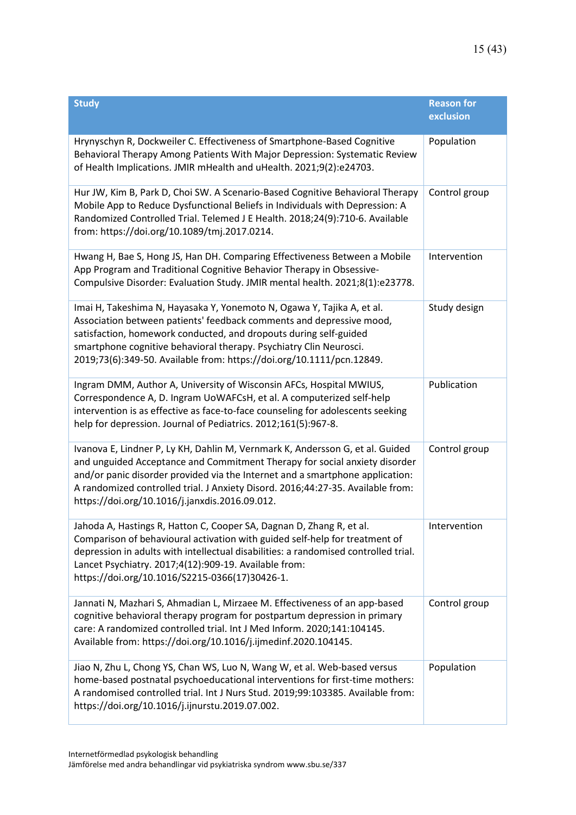| <b>Study</b>                                                                                                                                                                                                                                                                                                                                                                      | <b>Reason for</b><br>exclusion |
|-----------------------------------------------------------------------------------------------------------------------------------------------------------------------------------------------------------------------------------------------------------------------------------------------------------------------------------------------------------------------------------|--------------------------------|
| Hrynyschyn R, Dockweiler C. Effectiveness of Smartphone-Based Cognitive<br>Behavioral Therapy Among Patients With Major Depression: Systematic Review<br>of Health Implications. JMIR mHealth and uHealth. 2021;9(2):e24703.                                                                                                                                                      | Population                     |
| Hur JW, Kim B, Park D, Choi SW. A Scenario-Based Cognitive Behavioral Therapy<br>Mobile App to Reduce Dysfunctional Beliefs in Individuals with Depression: A<br>Randomized Controlled Trial. Telemed J E Health. 2018;24(9):710-6. Available<br>from: https://doi.org/10.1089/tmj.2017.0214.                                                                                     | Control group                  |
| Hwang H, Bae S, Hong JS, Han DH. Comparing Effectiveness Between a Mobile<br>App Program and Traditional Cognitive Behavior Therapy in Obsessive-<br>Compulsive Disorder: Evaluation Study. JMIR mental health. 2021;8(1):e23778.                                                                                                                                                 | Intervention                   |
| Imai H, Takeshima N, Hayasaka Y, Yonemoto N, Ogawa Y, Tajika A, et al.<br>Association between patients' feedback comments and depressive mood,<br>satisfaction, homework conducted, and dropouts during self-guided<br>smartphone cognitive behavioral therapy. Psychiatry Clin Neurosci.<br>2019;73(6):349-50. Available from: https://doi.org/10.1111/pcn.12849.                | Study design                   |
| Ingram DMM, Author A, University of Wisconsin AFCs, Hospital MWIUS,<br>Correspondence A, D. Ingram UoWAFCsH, et al. A computerized self-help<br>intervention is as effective as face-to-face counseling for adolescents seeking<br>help for depression. Journal of Pediatrics. 2012;161(5):967-8.                                                                                 | Publication                    |
| Ivanova E, Lindner P, Ly KH, Dahlin M, Vernmark K, Andersson G, et al. Guided<br>and unguided Acceptance and Commitment Therapy for social anxiety disorder<br>and/or panic disorder provided via the Internet and a smartphone application:<br>A randomized controlled trial. J Anxiety Disord. 2016;44:27-35. Available from:<br>https://doi.org/10.1016/j.janxdis.2016.09.012. | Control group                  |
| Jahoda A, Hastings R, Hatton C, Cooper SA, Dagnan D, Zhang R, et al.<br>Comparison of behavioural activation with guided self-help for treatment of<br>depression in adults with intellectual disabilities: a randomised controlled trial.<br>Lancet Psychiatry. 2017;4(12):909-19. Available from:<br>https://doi.org/10.1016/S2215-0366(17)30426-1.                             | Intervention                   |
| Jannati N, Mazhari S, Ahmadian L, Mirzaee M. Effectiveness of an app-based<br>cognitive behavioral therapy program for postpartum depression in primary<br>care: A randomized controlled trial. Int J Med Inform. 2020;141:104145.<br>Available from: https://doi.org/10.1016/j.ijmedinf.2020.104145.                                                                             | Control group                  |
| Jiao N, Zhu L, Chong YS, Chan WS, Luo N, Wang W, et al. Web-based versus<br>home-based postnatal psychoeducational interventions for first-time mothers:<br>A randomised controlled trial. Int J Nurs Stud. 2019;99:103385. Available from:<br>https://doi.org/10.1016/j.ijnurstu.2019.07.002.                                                                                    | Population                     |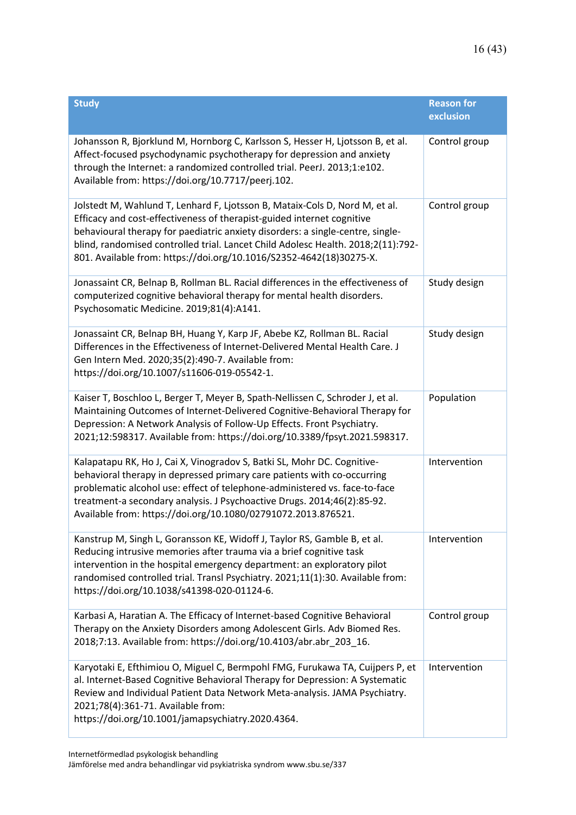| <b>Study</b>                                                                                                                                                                                                                                                                                                                                                                                       | <b>Reason for</b><br>exclusion |
|----------------------------------------------------------------------------------------------------------------------------------------------------------------------------------------------------------------------------------------------------------------------------------------------------------------------------------------------------------------------------------------------------|--------------------------------|
| Johansson R, Bjorklund M, Hornborg C, Karlsson S, Hesser H, Ljotsson B, et al.<br>Affect-focused psychodynamic psychotherapy for depression and anxiety<br>through the Internet: a randomized controlled trial. PeerJ. 2013;1:e102.<br>Available from: https://doi.org/10.7717/peerj.102.                                                                                                          | Control group                  |
| Jolstedt M, Wahlund T, Lenhard F, Ljotsson B, Mataix-Cols D, Nord M, et al.<br>Efficacy and cost-effectiveness of therapist-guided internet cognitive<br>behavioural therapy for paediatric anxiety disorders: a single-centre, single-<br>blind, randomised controlled trial. Lancet Child Adolesc Health. 2018;2(11):792-<br>801. Available from: https://doi.org/10.1016/S2352-4642(18)30275-X. | Control group                  |
| Jonassaint CR, Belnap B, Rollman BL. Racial differences in the effectiveness of<br>computerized cognitive behavioral therapy for mental health disorders.<br>Psychosomatic Medicine. 2019;81(4):A141.                                                                                                                                                                                              | Study design                   |
| Jonassaint CR, Belnap BH, Huang Y, Karp JF, Abebe KZ, Rollman BL. Racial<br>Differences in the Effectiveness of Internet-Delivered Mental Health Care. J<br>Gen Intern Med. 2020;35(2):490-7. Available from:<br>https://doi.org/10.1007/s11606-019-05542-1.                                                                                                                                       | Study design                   |
| Kaiser T, Boschloo L, Berger T, Meyer B, Spath-Nellissen C, Schroder J, et al.<br>Maintaining Outcomes of Internet-Delivered Cognitive-Behavioral Therapy for<br>Depression: A Network Analysis of Follow-Up Effects. Front Psychiatry.<br>2021;12:598317. Available from: https://doi.org/10.3389/fpsyt.2021.598317.                                                                              | Population                     |
| Kalapatapu RK, Ho J, Cai X, Vinogradov S, Batki SL, Mohr DC. Cognitive-<br>behavioral therapy in depressed primary care patients with co-occurring<br>problematic alcohol use: effect of telephone-administered vs. face-to-face<br>treatment-a secondary analysis. J Psychoactive Drugs. 2014;46(2):85-92.<br>Available from: https://doi.org/10.1080/02791072.2013.876521.                       | Intervention                   |
| Kanstrup M, Singh L, Goransson KE, Widoff J, Taylor RS, Gamble B, et al.<br>Reducing intrusive memories after trauma via a brief cognitive task<br>intervention in the hospital emergency department: an exploratory pilot<br>randomised controlled trial. Transl Psychiatry. 2021;11(1):30. Available from:<br>https://doi.org/10.1038/s41398-020-01124-6.                                        | Intervention                   |
| Karbasi A, Haratian A. The Efficacy of Internet-based Cognitive Behavioral<br>Therapy on the Anxiety Disorders among Adolescent Girls. Adv Biomed Res.<br>2018;7:13. Available from: https://doi.org/10.4103/abr.abr_203_16.                                                                                                                                                                       | Control group                  |
| Karyotaki E, Efthimiou O, Miguel C, Bermpohl FMG, Furukawa TA, Cuijpers P, et<br>al. Internet-Based Cognitive Behavioral Therapy for Depression: A Systematic<br>Review and Individual Patient Data Network Meta-analysis. JAMA Psychiatry.<br>2021;78(4):361-71. Available from:<br>https://doi.org/10.1001/jamapsychiatry.2020.4364.                                                             | Intervention                   |

Internetförmedlad psykologisk behandling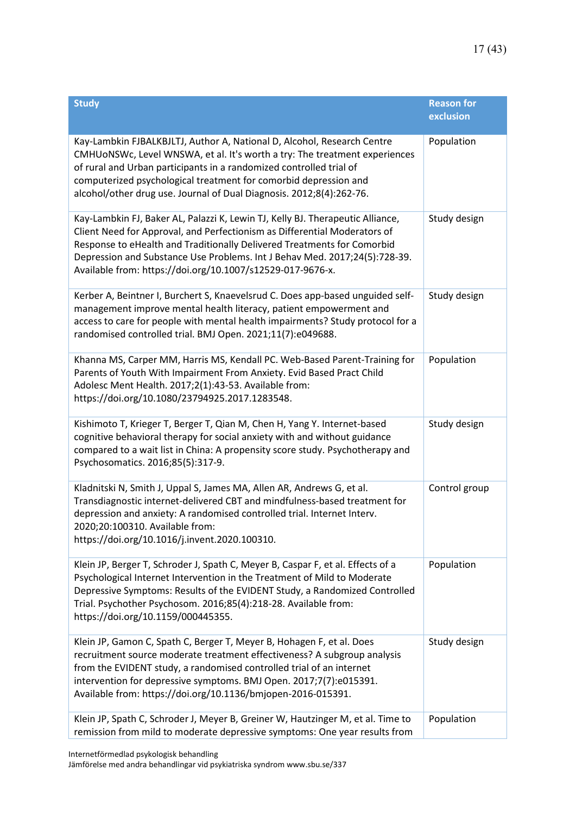| <b>Study</b>                                                                                                                                                                                                                                                                                                                                                                       | <b>Reason for</b><br>exclusion |
|------------------------------------------------------------------------------------------------------------------------------------------------------------------------------------------------------------------------------------------------------------------------------------------------------------------------------------------------------------------------------------|--------------------------------|
| Kay-Lambkin FJBALKBJLTJ, Author A, National D, Alcohol, Research Centre<br>CMHUONSWc, Level WNSWA, et al. It's worth a try: The treatment experiences<br>of rural and Urban participants in a randomized controlled trial of<br>computerized psychological treatment for comorbid depression and<br>alcohol/other drug use. Journal of Dual Diagnosis. 2012;8(4):262-76.           | Population                     |
| Kay-Lambkin FJ, Baker AL, Palazzi K, Lewin TJ, Kelly BJ. Therapeutic Alliance,<br>Client Need for Approval, and Perfectionism as Differential Moderators of<br>Response to eHealth and Traditionally Delivered Treatments for Comorbid<br>Depression and Substance Use Problems. Int J Behav Med. 2017;24(5):728-39.<br>Available from: https://doi.org/10.1007/s12529-017-9676-x. | Study design                   |
| Kerber A, Beintner I, Burchert S, Knaevelsrud C. Does app-based unguided self-<br>management improve mental health literacy, patient empowerment and<br>access to care for people with mental health impairments? Study protocol for a<br>randomised controlled trial. BMJ Open. 2021;11(7):e049688.                                                                               | Study design                   |
| Khanna MS, Carper MM, Harris MS, Kendall PC. Web-Based Parent-Training for<br>Parents of Youth With Impairment From Anxiety. Evid Based Pract Child<br>Adolesc Ment Health. 2017;2(1):43-53. Available from:<br>https://doi.org/10.1080/23794925.2017.1283548.                                                                                                                     | Population                     |
| Kishimoto T, Krieger T, Berger T, Qian M, Chen H, Yang Y. Internet-based<br>cognitive behavioral therapy for social anxiety with and without guidance<br>compared to a wait list in China: A propensity score study. Psychotherapy and<br>Psychosomatics. 2016;85(5):317-9.                                                                                                        | Study design                   |
| Kladnitski N, Smith J, Uppal S, James MA, Allen AR, Andrews G, et al.<br>Transdiagnostic internet-delivered CBT and mindfulness-based treatment for<br>depression and anxiety: A randomised controlled trial. Internet Interv.<br>2020;20:100310. Available from:<br>https://doi.org/10.1016/j.invent.2020.100310.                                                                 | Control group                  |
| Klein JP, Berger T, Schroder J, Spath C, Meyer B, Caspar F, et al. Effects of a<br>Psychological Internet Intervention in the Treatment of Mild to Moderate<br>Depressive Symptoms: Results of the EVIDENT Study, a Randomized Controlled<br>Trial. Psychother Psychosom. 2016;85(4):218-28. Available from:<br>https://doi.org/10.1159/000445355.                                 | Population                     |
| Klein JP, Gamon C, Spath C, Berger T, Meyer B, Hohagen F, et al. Does<br>recruitment source moderate treatment effectiveness? A subgroup analysis<br>from the EVIDENT study, a randomised controlled trial of an internet<br>intervention for depressive symptoms. BMJ Open. 2017;7(7):e015391.<br>Available from: https://doi.org/10.1136/bmjopen-2016-015391.                    | Study design                   |
| Klein JP, Spath C, Schroder J, Meyer B, Greiner W, Hautzinger M, et al. Time to<br>remission from mild to moderate depressive symptoms: One year results from                                                                                                                                                                                                                      | Population                     |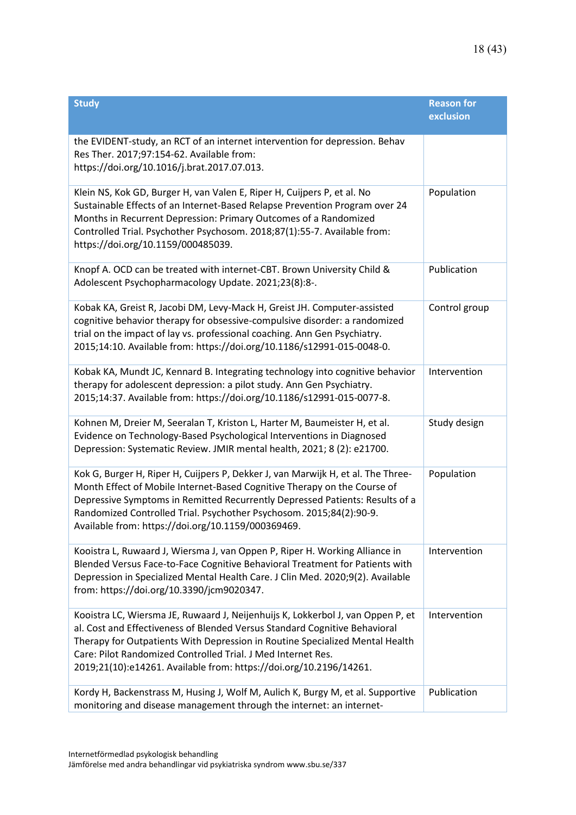| <b>Study</b>                                                                                                                                                                                                                                                                                                                                                                        | <b>Reason for</b><br>exclusion |
|-------------------------------------------------------------------------------------------------------------------------------------------------------------------------------------------------------------------------------------------------------------------------------------------------------------------------------------------------------------------------------------|--------------------------------|
| the EVIDENT-study, an RCT of an internet intervention for depression. Behav<br>Res Ther. 2017;97:154-62. Available from:<br>https://doi.org/10.1016/j.brat.2017.07.013.                                                                                                                                                                                                             |                                |
| Klein NS, Kok GD, Burger H, van Valen E, Riper H, Cuijpers P, et al. No<br>Sustainable Effects of an Internet-Based Relapse Prevention Program over 24<br>Months in Recurrent Depression: Primary Outcomes of a Randomized<br>Controlled Trial. Psychother Psychosom. 2018;87(1):55-7. Available from:<br>https://doi.org/10.1159/000485039.                                        | Population                     |
| Knopf A. OCD can be treated with internet-CBT. Brown University Child &<br>Adolescent Psychopharmacology Update. 2021;23(8):8-.                                                                                                                                                                                                                                                     | Publication                    |
| Kobak KA, Greist R, Jacobi DM, Levy-Mack H, Greist JH. Computer-assisted<br>cognitive behavior therapy for obsessive-compulsive disorder: a randomized<br>trial on the impact of lay vs. professional coaching. Ann Gen Psychiatry.<br>2015;14:10. Available from: https://doi.org/10.1186/s12991-015-0048-0.                                                                       | Control group                  |
| Kobak KA, Mundt JC, Kennard B. Integrating technology into cognitive behavior<br>therapy for adolescent depression: a pilot study. Ann Gen Psychiatry.<br>2015;14:37. Available from: https://doi.org/10.1186/s12991-015-0077-8.                                                                                                                                                    | Intervention                   |
| Kohnen M, Dreier M, Seeralan T, Kriston L, Harter M, Baumeister H, et al.<br>Evidence on Technology-Based Psychological Interventions in Diagnosed<br>Depression: Systematic Review. JMIR mental health, 2021; 8 (2): e21700.                                                                                                                                                       | Study design                   |
| Kok G, Burger H, Riper H, Cuijpers P, Dekker J, van Marwijk H, et al. The Three-<br>Month Effect of Mobile Internet-Based Cognitive Therapy on the Course of<br>Depressive Symptoms in Remitted Recurrently Depressed Patients: Results of a<br>Randomized Controlled Trial. Psychother Psychosom. 2015;84(2):90-9.<br>Available from: https://doi.org/10.1159/000369469.           | Population                     |
| Kooistra L, Ruwaard J, Wiersma J, van Oppen P, Riper H. Working Alliance in<br>Blended Versus Face-to-Face Cognitive Behavioral Treatment for Patients with<br>Depression in Specialized Mental Health Care. J Clin Med. 2020;9(2). Available<br>from: https://doi.org/10.3390/jcm9020347.                                                                                          | Intervention                   |
| Kooistra LC, Wiersma JE, Ruwaard J, Neijenhuijs K, Lokkerbol J, van Oppen P, et<br>al. Cost and Effectiveness of Blended Versus Standard Cognitive Behavioral<br>Therapy for Outpatients With Depression in Routine Specialized Mental Health<br>Care: Pilot Randomized Controlled Trial. J Med Internet Res.<br>2019;21(10):e14261. Available from: https://doi.org/10.2196/14261. | Intervention                   |
| Kordy H, Backenstrass M, Husing J, Wolf M, Aulich K, Burgy M, et al. Supportive<br>monitoring and disease management through the internet: an internet-                                                                                                                                                                                                                             | Publication                    |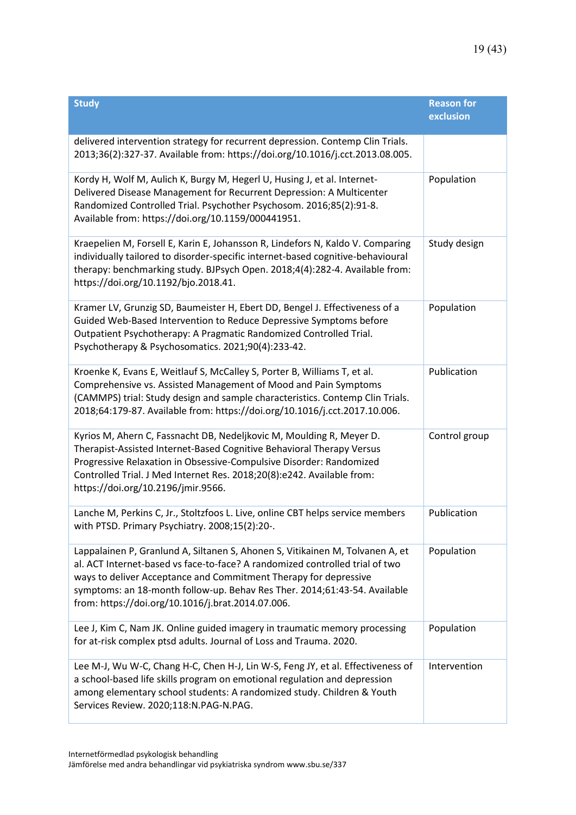| <b>Study</b>                                                                                                                                                                                                                                                                                                                                                        | <b>Reason for</b><br>exclusion |
|---------------------------------------------------------------------------------------------------------------------------------------------------------------------------------------------------------------------------------------------------------------------------------------------------------------------------------------------------------------------|--------------------------------|
| delivered intervention strategy for recurrent depression. Contemp Clin Trials.<br>2013;36(2):327-37. Available from: https://doi.org/10.1016/j.cct.2013.08.005.                                                                                                                                                                                                     |                                |
| Kordy H, Wolf M, Aulich K, Burgy M, Hegerl U, Husing J, et al. Internet-<br>Delivered Disease Management for Recurrent Depression: A Multicenter<br>Randomized Controlled Trial. Psychother Psychosom. 2016;85(2):91-8.<br>Available from: https://doi.org/10.1159/000441951.                                                                                       | Population                     |
| Kraepelien M, Forsell E, Karin E, Johansson R, Lindefors N, Kaldo V. Comparing<br>individually tailored to disorder-specific internet-based cognitive-behavioural<br>therapy: benchmarking study. BJPsych Open. 2018;4(4):282-4. Available from:<br>https://doi.org/10.1192/bjo.2018.41.                                                                            | Study design                   |
| Kramer LV, Grunzig SD, Baumeister H, Ebert DD, Bengel J. Effectiveness of a<br>Guided Web-Based Intervention to Reduce Depressive Symptoms before<br>Outpatient Psychotherapy: A Pragmatic Randomized Controlled Trial.<br>Psychotherapy & Psychosomatics. 2021;90(4):233-42.                                                                                       | Population                     |
| Kroenke K, Evans E, Weitlauf S, McCalley S, Porter B, Williams T, et al.<br>Comprehensive vs. Assisted Management of Mood and Pain Symptoms<br>(CAMMPS) trial: Study design and sample characteristics. Contemp Clin Trials.<br>2018;64:179-87. Available from: https://doi.org/10.1016/j.cct.2017.10.006.                                                          | Publication                    |
| Kyrios M, Ahern C, Fassnacht DB, Nedeljkovic M, Moulding R, Meyer D.<br>Therapist-Assisted Internet-Based Cognitive Behavioral Therapy Versus<br>Progressive Relaxation in Obsessive-Compulsive Disorder: Randomized<br>Controlled Trial. J Med Internet Res. 2018;20(8):e242. Available from:<br>https://doi.org/10.2196/jmir.9566.                                | Control group                  |
| Lanche M, Perkins C, Jr., Stoltzfoos L. Live, online CBT helps service members<br>with PTSD. Primary Psychiatry. 2008;15(2):20-.                                                                                                                                                                                                                                    | Publication                    |
| Lappalainen P, Granlund A, Siltanen S, Ahonen S, Vitikainen M, Tolvanen A, et<br>al. ACT Internet-based vs face-to-face? A randomized controlled trial of two<br>ways to deliver Acceptance and Commitment Therapy for depressive<br>symptoms: an 18-month follow-up. Behav Res Ther. 2014;61:43-54. Available<br>from: https://doi.org/10.1016/j.brat.2014.07.006. | Population                     |
| Lee J, Kim C, Nam JK. Online guided imagery in traumatic memory processing<br>for at-risk complex ptsd adults. Journal of Loss and Trauma. 2020.                                                                                                                                                                                                                    | Population                     |
| Lee M-J, Wu W-C, Chang H-C, Chen H-J, Lin W-S, Feng JY, et al. Effectiveness of<br>a school-based life skills program on emotional regulation and depression<br>among elementary school students: A randomized study. Children & Youth<br>Services Review. 2020;118:N.PAG-N.PAG.                                                                                    | Intervention                   |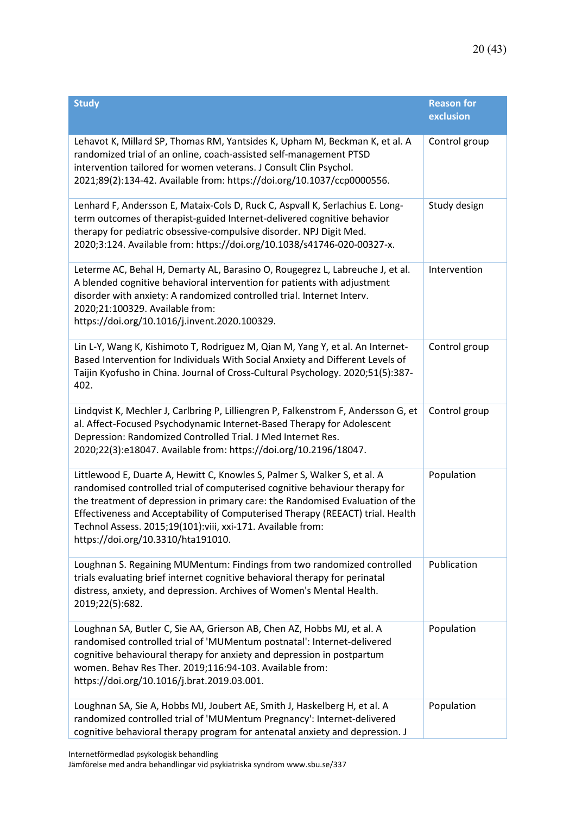| <b>Study</b>                                                                                                                                                                                                                                                                                                                                                                                                                     | <b>Reason for</b><br>exclusion |
|----------------------------------------------------------------------------------------------------------------------------------------------------------------------------------------------------------------------------------------------------------------------------------------------------------------------------------------------------------------------------------------------------------------------------------|--------------------------------|
| Lehavot K, Millard SP, Thomas RM, Yantsides K, Upham M, Beckman K, et al. A<br>randomized trial of an online, coach-assisted self-management PTSD<br>intervention tailored for women veterans. J Consult Clin Psychol.<br>2021;89(2):134-42. Available from: https://doi.org/10.1037/ccp0000556.                                                                                                                                 | Control group                  |
| Lenhard F, Andersson E, Mataix-Cols D, Ruck C, Aspvall K, Serlachius E. Long-<br>term outcomes of therapist-guided Internet-delivered cognitive behavior<br>therapy for pediatric obsessive-compulsive disorder. NPJ Digit Med.<br>2020;3:124. Available from: https://doi.org/10.1038/s41746-020-00327-x.                                                                                                                       | Study design                   |
| Leterme AC, Behal H, Demarty AL, Barasino O, Rougegrez L, Labreuche J, et al.<br>A blended cognitive behavioral intervention for patients with adjustment<br>disorder with anxiety: A randomized controlled trial. Internet Interv.<br>2020;21:100329. Available from:<br>https://doi.org/10.1016/j.invent.2020.100329.                                                                                                          | Intervention                   |
| Lin L-Y, Wang K, Kishimoto T, Rodriguez M, Qian M, Yang Y, et al. An Internet-<br>Based Intervention for Individuals With Social Anxiety and Different Levels of<br>Taijin Kyofusho in China. Journal of Cross-Cultural Psychology. 2020;51(5):387-<br>402.                                                                                                                                                                      | Control group                  |
| Lindqvist K, Mechler J, Carlbring P, Lilliengren P, Falkenstrom F, Andersson G, et<br>al. Affect-Focused Psychodynamic Internet-Based Therapy for Adolescent<br>Depression: Randomized Controlled Trial. J Med Internet Res.<br>2020;22(3):e18047. Available from: https://doi.org/10.2196/18047.                                                                                                                                | Control group                  |
| Littlewood E, Duarte A, Hewitt C, Knowles S, Palmer S, Walker S, et al. A<br>randomised controlled trial of computerised cognitive behaviour therapy for<br>the treatment of depression in primary care: the Randomised Evaluation of the<br>Effectiveness and Acceptability of Computerised Therapy (REEACT) trial. Health<br>Technol Assess. 2015;19(101):viii, xxi-171. Available from:<br>https://doi.org/10.3310/hta191010. | Population                     |
| Loughnan S. Regaining MUMentum: Findings from two randomized controlled<br>trials evaluating brief internet cognitive behavioral therapy for perinatal<br>distress, anxiety, and depression. Archives of Women's Mental Health.<br>2019;22(5):682.                                                                                                                                                                               | Publication                    |
| Loughnan SA, Butler C, Sie AA, Grierson AB, Chen AZ, Hobbs MJ, et al. A<br>randomised controlled trial of 'MUMentum postnatal': Internet-delivered<br>cognitive behavioural therapy for anxiety and depression in postpartum<br>women. Behav Res Ther. 2019;116:94-103. Available from:<br>https://doi.org/10.1016/j.brat.2019.03.001.                                                                                           | Population                     |
| Loughnan SA, Sie A, Hobbs MJ, Joubert AE, Smith J, Haskelberg H, et al. A<br>randomized controlled trial of 'MUMentum Pregnancy': Internet-delivered<br>cognitive behavioral therapy program for antenatal anxiety and depression. J                                                                                                                                                                                             | Population                     |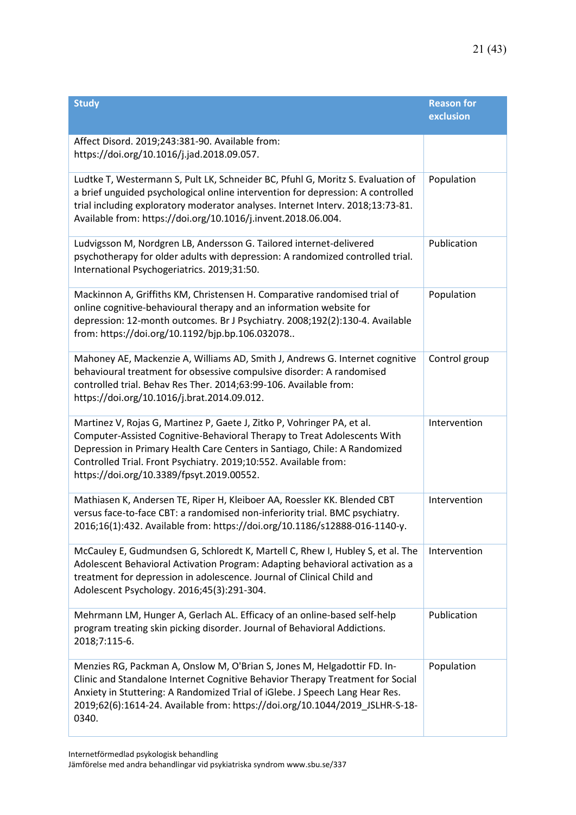| <b>Study</b>                                                                                                                                                                                                                                                                                                                                       | <b>Reason for</b><br>exclusion |
|----------------------------------------------------------------------------------------------------------------------------------------------------------------------------------------------------------------------------------------------------------------------------------------------------------------------------------------------------|--------------------------------|
| Affect Disord. 2019;243:381-90. Available from:<br>https://doi.org/10.1016/j.jad.2018.09.057.                                                                                                                                                                                                                                                      |                                |
| Ludtke T, Westermann S, Pult LK, Schneider BC, Pfuhl G, Moritz S. Evaluation of<br>a brief unguided psychological online intervention for depression: A controlled<br>trial including exploratory moderator analyses. Internet Interv. 2018;13:73-81.<br>Available from: https://doi.org/10.1016/j.invent.2018.06.004.                             | Population                     |
| Ludvigsson M, Nordgren LB, Andersson G. Tailored internet-delivered<br>psychotherapy for older adults with depression: A randomized controlled trial.<br>International Psychogeriatrics. 2019;31:50.                                                                                                                                               | Publication                    |
| Mackinnon A, Griffiths KM, Christensen H. Comparative randomised trial of<br>online cognitive-behavioural therapy and an information website for<br>depression: 12-month outcomes. Br J Psychiatry. 2008;192(2):130-4. Available<br>from: https://doi.org/10.1192/bjp.bp.106.032078                                                                | Population                     |
| Mahoney AE, Mackenzie A, Williams AD, Smith J, Andrews G. Internet cognitive<br>behavioural treatment for obsessive compulsive disorder: A randomised<br>controlled trial. Behav Res Ther. 2014;63:99-106. Available from:<br>https://doi.org/10.1016/j.brat.2014.09.012.                                                                          | Control group                  |
| Martinez V, Rojas G, Martinez P, Gaete J, Zitko P, Vohringer PA, et al.<br>Computer-Assisted Cognitive-Behavioral Therapy to Treat Adolescents With<br>Depression in Primary Health Care Centers in Santiago, Chile: A Randomized<br>Controlled Trial. Front Psychiatry. 2019;10:552. Available from:<br>https://doi.org/10.3389/fpsyt.2019.00552. | Intervention                   |
| Mathiasen K, Andersen TE, Riper H, Kleiboer AA, Roessler KK. Blended CBT<br>versus face-to-face CBT: a randomised non-inferiority trial. BMC psychiatry.<br>2016;16(1):432. Available from: https://doi.org/10.1186/s12888-016-1140-y.                                                                                                             | Intervention                   |
| McCauley E, Gudmundsen G, Schloredt K, Martell C, Rhew I, Hubley S, et al. The<br>Adolescent Behavioral Activation Program: Adapting behavioral activation as a<br>treatment for depression in adolescence. Journal of Clinical Child and<br>Adolescent Psychology. 2016;45(3):291-304.                                                            | Intervention                   |
| Mehrmann LM, Hunger A, Gerlach AL. Efficacy of an online-based self-help<br>program treating skin picking disorder. Journal of Behavioral Addictions.<br>2018;7:115-6.                                                                                                                                                                             | Publication                    |
| Menzies RG, Packman A, Onslow M, O'Brian S, Jones M, Helgadottir FD. In-<br>Clinic and Standalone Internet Cognitive Behavior Therapy Treatment for Social<br>Anxiety in Stuttering: A Randomized Trial of iGlebe. J Speech Lang Hear Res.<br>2019;62(6):1614-24. Available from: https://doi.org/10.1044/2019_JSLHR-S-18-<br>0340.                | Population                     |

Internetförmedlad psykologisk behandling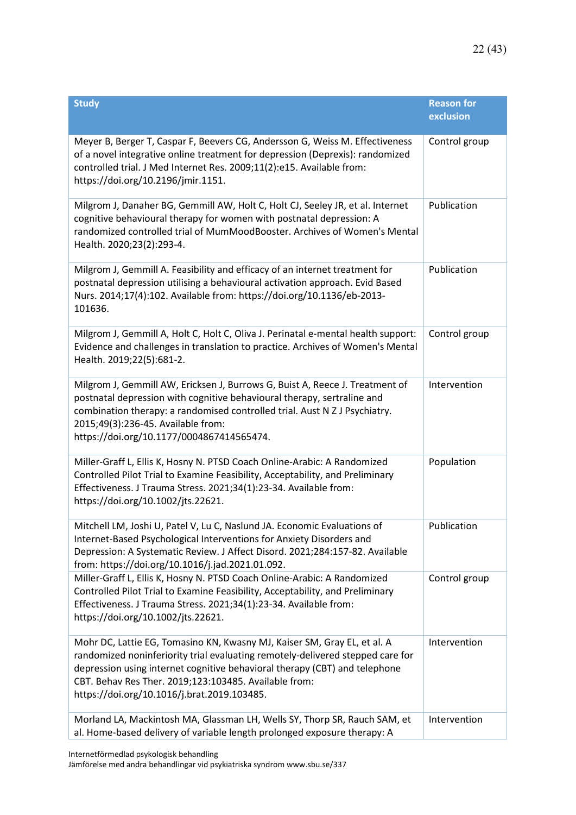| <b>Study</b>                                                                                                                                                                                                                                                                                                                                     | <b>Reason for</b><br>exclusion |
|--------------------------------------------------------------------------------------------------------------------------------------------------------------------------------------------------------------------------------------------------------------------------------------------------------------------------------------------------|--------------------------------|
| Meyer B, Berger T, Caspar F, Beevers CG, Andersson G, Weiss M. Effectiveness<br>of a novel integrative online treatment for depression (Deprexis): randomized<br>controlled trial. J Med Internet Res. 2009;11(2):e15. Available from:<br>https://doi.org/10.2196/jmir.1151.                                                                     | Control group                  |
| Milgrom J, Danaher BG, Gemmill AW, Holt C, Holt CJ, Seeley JR, et al. Internet<br>cognitive behavioural therapy for women with postnatal depression: A<br>randomized controlled trial of MumMoodBooster. Archives of Women's Mental<br>Health. 2020;23(2):293-4.                                                                                 | Publication                    |
| Milgrom J, Gemmill A. Feasibility and efficacy of an internet treatment for<br>postnatal depression utilising a behavioural activation approach. Evid Based<br>Nurs. 2014;17(4):102. Available from: https://doi.org/10.1136/eb-2013-<br>101636.                                                                                                 | Publication                    |
| Milgrom J, Gemmill A, Holt C, Holt C, Oliva J. Perinatal e-mental health support:<br>Evidence and challenges in translation to practice. Archives of Women's Mental<br>Health. 2019;22(5):681-2.                                                                                                                                                 | Control group                  |
| Milgrom J, Gemmill AW, Ericksen J, Burrows G, Buist A, Reece J. Treatment of<br>postnatal depression with cognitive behavioural therapy, sertraline and<br>combination therapy: a randomised controlled trial. Aust N Z J Psychiatry.<br>2015;49(3):236-45. Available from:<br>https://doi.org/10.1177/0004867414565474.                         | Intervention                   |
| Miller-Graff L, Ellis K, Hosny N. PTSD Coach Online-Arabic: A Randomized<br>Controlled Pilot Trial to Examine Feasibility, Acceptability, and Preliminary<br>Effectiveness. J Trauma Stress. 2021;34(1):23-34. Available from:<br>https://doi.org/10.1002/jts.22621.                                                                             | Population                     |
| Mitchell LM, Joshi U, Patel V, Lu C, Naslund JA. Economic Evaluations of<br>Internet-Based Psychological Interventions for Anxiety Disorders and<br>Depression: A Systematic Review. J Affect Disord. 2021;284:157-82. Available<br>from: https://doi.org/10.1016/j.jad.2021.01.092.                                                             | Publication                    |
| Miller-Graff L, Ellis K, Hosny N. PTSD Coach Online-Arabic: A Randomized<br>Controlled Pilot Trial to Examine Feasibility, Acceptability, and Preliminary<br>Effectiveness. J Trauma Stress. 2021;34(1):23-34. Available from:<br>https://doi.org/10.1002/jts.22621.                                                                             | Control group                  |
| Mohr DC, Lattie EG, Tomasino KN, Kwasny MJ, Kaiser SM, Gray EL, et al. A<br>randomized noninferiority trial evaluating remotely-delivered stepped care for<br>depression using internet cognitive behavioral therapy (CBT) and telephone<br>CBT. Behav Res Ther. 2019;123:103485. Available from:<br>https://doi.org/10.1016/j.brat.2019.103485. | Intervention                   |
| Morland LA, Mackintosh MA, Glassman LH, Wells SY, Thorp SR, Rauch SAM, et<br>al. Home-based delivery of variable length prolonged exposure therapy: A                                                                                                                                                                                            | Intervention                   |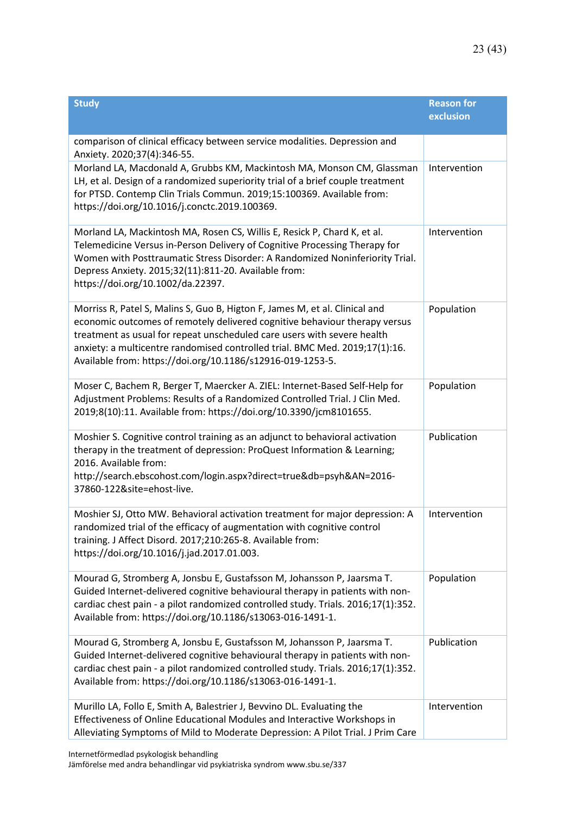| <b>Study</b>                                                                                                                                                                                                                                                                                                                                                                      | <b>Reason for</b><br>exclusion |
|-----------------------------------------------------------------------------------------------------------------------------------------------------------------------------------------------------------------------------------------------------------------------------------------------------------------------------------------------------------------------------------|--------------------------------|
| comparison of clinical efficacy between service modalities. Depression and<br>Anxiety. 2020;37(4):346-55.                                                                                                                                                                                                                                                                         |                                |
| Morland LA, Macdonald A, Grubbs KM, Mackintosh MA, Monson CM, Glassman<br>LH, et al. Design of a randomized superiority trial of a brief couple treatment<br>for PTSD. Contemp Clin Trials Commun. 2019;15:100369. Available from:<br>https://doi.org/10.1016/j.conctc.2019.100369.                                                                                               | Intervention                   |
| Morland LA, Mackintosh MA, Rosen CS, Willis E, Resick P, Chard K, et al.<br>Telemedicine Versus in-Person Delivery of Cognitive Processing Therapy for<br>Women with Posttraumatic Stress Disorder: A Randomized Noninferiority Trial.<br>Depress Anxiety. 2015;32(11):811-20. Available from:<br>https://doi.org/10.1002/da.22397.                                               | Intervention                   |
| Morriss R, Patel S, Malins S, Guo B, Higton F, James M, et al. Clinical and<br>economic outcomes of remotely delivered cognitive behaviour therapy versus<br>treatment as usual for repeat unscheduled care users with severe health<br>anxiety: a multicentre randomised controlled trial. BMC Med. 2019;17(1):16.<br>Available from: https://doi.org/10.1186/s12916-019-1253-5. | Population                     |
| Moser C, Bachem R, Berger T, Maercker A. ZIEL: Internet-Based Self-Help for<br>Adjustment Problems: Results of a Randomized Controlled Trial. J Clin Med.<br>2019;8(10):11. Available from: https://doi.org/10.3390/jcm8101655.                                                                                                                                                   | Population                     |
| Moshier S. Cognitive control training as an adjunct to behavioral activation<br>therapy in the treatment of depression: ProQuest Information & Learning;<br>2016. Available from:<br>http://search.ebscohost.com/login.aspx?direct=true&db=psyh&AN=2016-<br>37860-122&site=ehost-live.                                                                                            | Publication                    |
| Moshier SJ, Otto MW. Behavioral activation treatment for major depression: A<br>randomized trial of the efficacy of augmentation with cognitive control<br>training. J Affect Disord. 2017;210:265-8. Available from:<br>https://doi.org/10.1016/j.jad.2017.01.003.                                                                                                               | Intervention                   |
| Mourad G, Stromberg A, Jonsbu E, Gustafsson M, Johansson P, Jaarsma T.<br>Guided Internet-delivered cognitive behavioural therapy in patients with non-<br>cardiac chest pain - a pilot randomized controlled study. Trials. 2016;17(1):352.<br>Available from: https://doi.org/10.1186/s13063-016-1491-1.                                                                        | Population                     |
| Mourad G, Stromberg A, Jonsbu E, Gustafsson M, Johansson P, Jaarsma T.<br>Guided Internet-delivered cognitive behavioural therapy in patients with non-<br>cardiac chest pain - a pilot randomized controlled study. Trials. 2016;17(1):352.<br>Available from: https://doi.org/10.1186/s13063-016-1491-1.                                                                        | Publication                    |
| Murillo LA, Follo E, Smith A, Balestrier J, Bevvino DL. Evaluating the<br>Effectiveness of Online Educational Modules and Interactive Workshops in<br>Alleviating Symptoms of Mild to Moderate Depression: A Pilot Trial. J Prim Care                                                                                                                                             | Intervention                   |

Internetförmedlad psykologisk behandling

Jämförelse med andra behandlingar vid psykiatriska syndrom www.sbu.se/337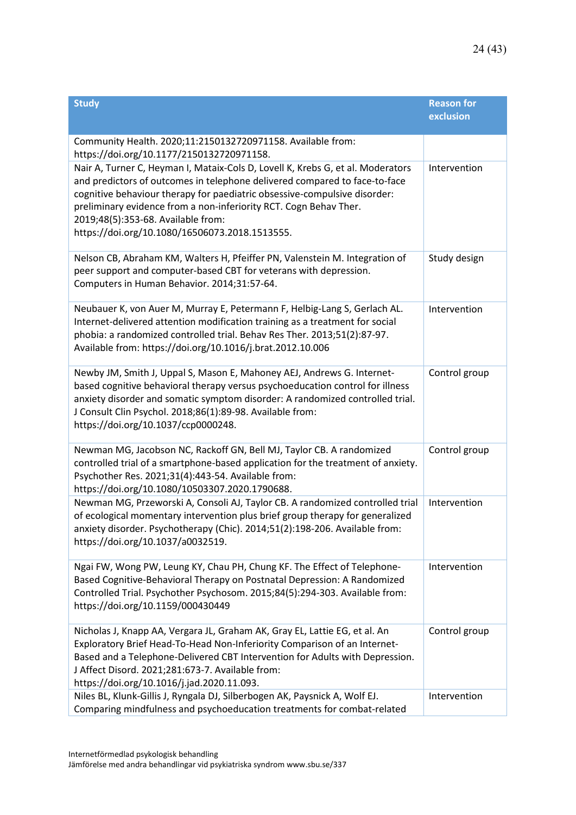| <b>Study</b>                                                                                                                                                                                                                                                                                                                                                                                            | <b>Reason for</b><br>exclusion |
|---------------------------------------------------------------------------------------------------------------------------------------------------------------------------------------------------------------------------------------------------------------------------------------------------------------------------------------------------------------------------------------------------------|--------------------------------|
| Community Health. 2020;11:2150132720971158. Available from:<br>https://doi.org/10.1177/2150132720971158.                                                                                                                                                                                                                                                                                                |                                |
| Nair A, Turner C, Heyman I, Mataix-Cols D, Lovell K, Krebs G, et al. Moderators<br>and predictors of outcomes in telephone delivered compared to face-to-face<br>cognitive behaviour therapy for paediatric obsessive-compulsive disorder:<br>preliminary evidence from a non-inferiority RCT. Cogn Behav Ther.<br>2019;48(5):353-68. Available from:<br>https://doi.org/10.1080/16506073.2018.1513555. | Intervention                   |
| Nelson CB, Abraham KM, Walters H, Pfeiffer PN, Valenstein M. Integration of<br>peer support and computer-based CBT for veterans with depression.<br>Computers in Human Behavior. 2014;31:57-64.                                                                                                                                                                                                         | Study design                   |
| Neubauer K, von Auer M, Murray E, Petermann F, Helbig-Lang S, Gerlach AL.<br>Internet-delivered attention modification training as a treatment for social<br>phobia: a randomized controlled trial. Behav Res Ther. 2013;51(2):87-97.<br>Available from: https://doi.org/10.1016/j.brat.2012.10.006                                                                                                     | Intervention                   |
| Newby JM, Smith J, Uppal S, Mason E, Mahoney AEJ, Andrews G. Internet-<br>based cognitive behavioral therapy versus psychoeducation control for illness<br>anxiety disorder and somatic symptom disorder: A randomized controlled trial.<br>J Consult Clin Psychol. 2018;86(1):89-98. Available from:<br>https://doi.org/10.1037/ccp0000248.                                                            | Control group                  |
| Newman MG, Jacobson NC, Rackoff GN, Bell MJ, Taylor CB. A randomized<br>controlled trial of a smartphone-based application for the treatment of anxiety.<br>Psychother Res. 2021;31(4):443-54. Available from:<br>https://doi.org/10.1080/10503307.2020.1790688.                                                                                                                                        | Control group                  |
| Newman MG, Przeworski A, Consoli AJ, Taylor CB. A randomized controlled trial<br>of ecological momentary intervention plus brief group therapy for generalized<br>anxiety disorder. Psychotherapy (Chic). 2014;51(2):198-206. Available from:<br>https://doi.org/10.1037/a0032519.                                                                                                                      | Intervention                   |
| Ngai FW, Wong PW, Leung KY, Chau PH, Chung KF. The Effect of Telephone-<br>Based Cognitive-Behavioral Therapy on Postnatal Depression: A Randomized<br>Controlled Trial. Psychother Psychosom. 2015;84(5):294-303. Available from:<br>https://doi.org/10.1159/000430449                                                                                                                                 | Intervention                   |
| Nicholas J, Knapp AA, Vergara JL, Graham AK, Gray EL, Lattie EG, et al. An<br>Exploratory Brief Head-To-Head Non-Inferiority Comparison of an Internet-<br>Based and a Telephone-Delivered CBT Intervention for Adults with Depression.<br>J Affect Disord. 2021;281:673-7. Available from:<br>https://doi.org/10.1016/j.jad.2020.11.093.                                                               | Control group                  |
| Niles BL, Klunk-Gillis J, Ryngala DJ, Silberbogen AK, Paysnick A, Wolf EJ.<br>Comparing mindfulness and psychoeducation treatments for combat-related                                                                                                                                                                                                                                                   | Intervention                   |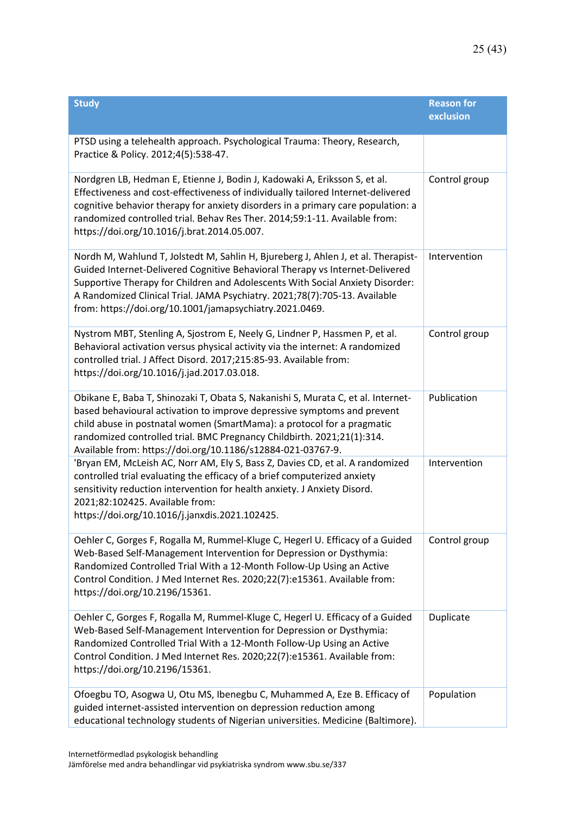| <b>Study</b>                                                                                                                                                                                                                                                                                                                                                                                | <b>Reason for</b><br>exclusion |
|---------------------------------------------------------------------------------------------------------------------------------------------------------------------------------------------------------------------------------------------------------------------------------------------------------------------------------------------------------------------------------------------|--------------------------------|
| PTSD using a telehealth approach. Psychological Trauma: Theory, Research,<br>Practice & Policy. 2012;4(5):538-47.                                                                                                                                                                                                                                                                           |                                |
| Nordgren LB, Hedman E, Etienne J, Bodin J, Kadowaki A, Eriksson S, et al.<br>Effectiveness and cost-effectiveness of individually tailored Internet-delivered<br>cognitive behavior therapy for anxiety disorders in a primary care population: a<br>randomized controlled trial. Behav Res Ther. 2014;59:1-11. Available from:<br>https://doi.org/10.1016/j.brat.2014.05.007.              | Control group                  |
| Nordh M, Wahlund T, Jolstedt M, Sahlin H, Bjureberg J, Ahlen J, et al. Therapist-<br>Guided Internet-Delivered Cognitive Behavioral Therapy vs Internet-Delivered<br>Supportive Therapy for Children and Adolescents With Social Anxiety Disorder:<br>A Randomized Clinical Trial. JAMA Psychiatry. 2021;78(7):705-13. Available<br>from: https://doi.org/10.1001/jamapsychiatry.2021.0469. | Intervention                   |
| Nystrom MBT, Stenling A, Sjostrom E, Neely G, Lindner P, Hassmen P, et al.<br>Behavioral activation versus physical activity via the internet: A randomized<br>controlled trial. J Affect Disord. 2017;215:85-93. Available from:<br>https://doi.org/10.1016/j.jad.2017.03.018.                                                                                                             | Control group                  |
| Obikane E, Baba T, Shinozaki T, Obata S, Nakanishi S, Murata C, et al. Internet-<br>based behavioural activation to improve depressive symptoms and prevent<br>child abuse in postnatal women (SmartMama): a protocol for a pragmatic<br>randomized controlled trial. BMC Pregnancy Childbirth. 2021;21(1):314.<br>Available from: https://doi.org/10.1186/s12884-021-03767-9.              | Publication                    |
| 'Bryan EM, McLeish AC, Norr AM, Ely S, Bass Z, Davies CD, et al. A randomized<br>controlled trial evaluating the efficacy of a brief computerized anxiety<br>sensitivity reduction intervention for health anxiety. J Anxiety Disord.<br>2021;82:102425. Available from:<br>https://doi.org/10.1016/j.janxdis.2021.102425.                                                                  | Intervention                   |
| Oehler C, Gorges F, Rogalla M, Rummel-Kluge C, Hegerl U. Efficacy of a Guided<br>Web-Based Self-Management Intervention for Depression or Dysthymia:<br>Randomized Controlled Trial With a 12-Month Follow-Up Using an Active<br>Control Condition. J Med Internet Res. 2020;22(7):e15361. Available from:<br>https://doi.org/10.2196/15361.                                                | Control group                  |
| Oehler C, Gorges F, Rogalla M, Rummel-Kluge C, Hegerl U. Efficacy of a Guided<br>Web-Based Self-Management Intervention for Depression or Dysthymia:<br>Randomized Controlled Trial With a 12-Month Follow-Up Using an Active<br>Control Condition. J Med Internet Res. 2020;22(7):e15361. Available from:<br>https://doi.org/10.2196/15361.                                                | Duplicate                      |
| Ofoegbu TO, Asogwa U, Otu MS, Ibenegbu C, Muhammed A, Eze B. Efficacy of<br>guided internet-assisted intervention on depression reduction among<br>educational technology students of Nigerian universities. Medicine (Baltimore).                                                                                                                                                          | Population                     |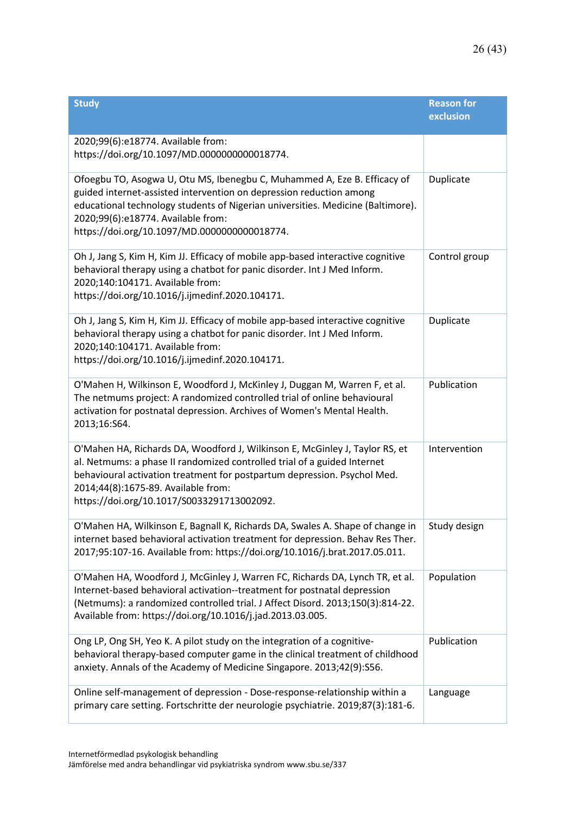| <b>Study</b>                                                                                                                                                                                                                                                                                                             | <b>Reason for</b><br>exclusion |
|--------------------------------------------------------------------------------------------------------------------------------------------------------------------------------------------------------------------------------------------------------------------------------------------------------------------------|--------------------------------|
| 2020;99(6):e18774. Available from:<br>https://doi.org/10.1097/MD.0000000000018774.                                                                                                                                                                                                                                       |                                |
| Ofoegbu TO, Asogwa U, Otu MS, Ibenegbu C, Muhammed A, Eze B. Efficacy of<br>guided internet-assisted intervention on depression reduction among<br>educational technology students of Nigerian universities. Medicine (Baltimore).<br>2020;99(6):e18774. Available from:<br>https://doi.org/10.1097/MD.0000000000018774. | Duplicate                      |
| Oh J, Jang S, Kim H, Kim JJ. Efficacy of mobile app-based interactive cognitive<br>behavioral therapy using a chatbot for panic disorder. Int J Med Inform.<br>2020;140:104171. Available from:<br>https://doi.org/10.1016/j.ijmedinf.2020.104171.                                                                       | Control group                  |
| Oh J, Jang S, Kim H, Kim JJ. Efficacy of mobile app-based interactive cognitive<br>behavioral therapy using a chatbot for panic disorder. Int J Med Inform.<br>2020;140:104171. Available from:<br>https://doi.org/10.1016/j.ijmedinf.2020.104171.                                                                       | Duplicate                      |
| O'Mahen H, Wilkinson E, Woodford J, McKinley J, Duggan M, Warren F, et al.<br>The netmums project: A randomized controlled trial of online behavioural<br>activation for postnatal depression. Archives of Women's Mental Health.<br>2013;16:S64.                                                                        | Publication                    |
| O'Mahen HA, Richards DA, Woodford J, Wilkinson E, McGinley J, Taylor RS, et<br>al. Netmums: a phase II randomized controlled trial of a guided Internet<br>behavioural activation treatment for postpartum depression. Psychol Med.<br>2014;44(8):1675-89. Available from:<br>https://doi.org/10.1017/S0033291713002092. | Intervention                   |
| O'Mahen HA, Wilkinson E, Bagnall K, Richards DA, Swales A. Shape of change in<br>internet based behavioral activation treatment for depression. Behav Res Ther.<br>2017;95:107-16. Available from: https://doi.org/10.1016/j.brat.2017.05.011.                                                                           | Study design                   |
| O'Mahen HA, Woodford J, McGinley J, Warren FC, Richards DA, Lynch TR, et al.<br>Internet-based behavioral activation--treatment for postnatal depression<br>(Netmums): a randomized controlled trial. J Affect Disord. 2013;150(3):814-22.<br>Available from: https://doi.org/10.1016/j.jad.2013.03.005.                 | Population                     |
| Ong LP, Ong SH, Yeo K. A pilot study on the integration of a cognitive-<br>behavioral therapy-based computer game in the clinical treatment of childhood<br>anxiety. Annals of the Academy of Medicine Singapore. 2013;42(9):S56.                                                                                        | Publication                    |
| Online self-management of depression - Dose-response-relationship within a<br>primary care setting. Fortschritte der neurologie psychiatrie. 2019;87(3):181-6.                                                                                                                                                           | Language                       |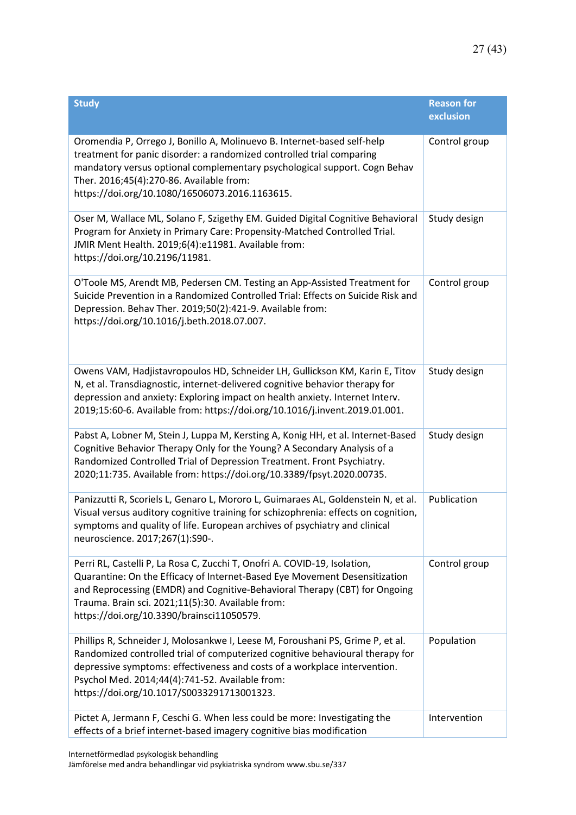| <b>Study</b>                                                                                                                                                                                                                                                                                                                                  | <b>Reason for</b><br>exclusion |
|-----------------------------------------------------------------------------------------------------------------------------------------------------------------------------------------------------------------------------------------------------------------------------------------------------------------------------------------------|--------------------------------|
| Oromendia P, Orrego J, Bonillo A, Molinuevo B. Internet-based self-help<br>treatment for panic disorder: a randomized controlled trial comparing<br>mandatory versus optional complementary psychological support. Cogn Behav<br>Ther. 2016;45(4):270-86. Available from:<br>https://doi.org/10.1080/16506073.2016.1163615.                   | Control group                  |
| Oser M, Wallace ML, Solano F, Szigethy EM. Guided Digital Cognitive Behavioral<br>Program for Anxiety in Primary Care: Propensity-Matched Controlled Trial.<br>JMIR Ment Health. 2019;6(4):e11981. Available from:<br>https://doi.org/10.2196/11981.                                                                                          | Study design                   |
| O'Toole MS, Arendt MB, Pedersen CM. Testing an App-Assisted Treatment for<br>Suicide Prevention in a Randomized Controlled Trial: Effects on Suicide Risk and<br>Depression. Behav Ther. 2019;50(2):421-9. Available from:<br>https://doi.org/10.1016/j.beth.2018.07.007.                                                                     | Control group                  |
| Owens VAM, Hadjistavropoulos HD, Schneider LH, Gullickson KM, Karin E, Titov<br>N, et al. Transdiagnostic, internet-delivered cognitive behavior therapy for<br>depression and anxiety: Exploring impact on health anxiety. Internet Interv.<br>2019;15:60-6. Available from: https://doi.org/10.1016/j.invent.2019.01.001.                   | Study design                   |
| Pabst A, Lobner M, Stein J, Luppa M, Kersting A, Konig HH, et al. Internet-Based<br>Cognitive Behavior Therapy Only for the Young? A Secondary Analysis of a<br>Randomized Controlled Trial of Depression Treatment. Front Psychiatry.<br>2020;11:735. Available from: https://doi.org/10.3389/fpsyt.2020.00735.                              | Study design                   |
| Panizzutti R, Scoriels L, Genaro L, Mororo L, Guimaraes AL, Goldenstein N, et al.<br>Visual versus auditory cognitive training for schizophrenia: effects on cognition,<br>symptoms and quality of life. European archives of psychiatry and clinical<br>neuroscience. 2017;267(1):S90-.                                                      | Publication                    |
| Perri RL, Castelli P, La Rosa C, Zucchi T, Onofri A. COVID-19, Isolation,<br>Quarantine: On the Efficacy of Internet-Based Eye Movement Desensitization<br>and Reprocessing (EMDR) and Cognitive-Behavioral Therapy (CBT) for Ongoing<br>Trauma. Brain sci. 2021;11(5):30. Available from:<br>https://doi.org/10.3390/brainsci11050579.       | Control group                  |
| Phillips R, Schneider J, Molosankwe I, Leese M, Foroushani PS, Grime P, et al.<br>Randomized controlled trial of computerized cognitive behavioural therapy for<br>depressive symptoms: effectiveness and costs of a workplace intervention.<br>Psychol Med. 2014;44(4):741-52. Available from:<br>https://doi.org/10.1017/S0033291713001323. | Population                     |
| Pictet A, Jermann F, Ceschi G. When less could be more: Investigating the<br>effects of a brief internet-based imagery cognitive bias modification                                                                                                                                                                                            | Intervention                   |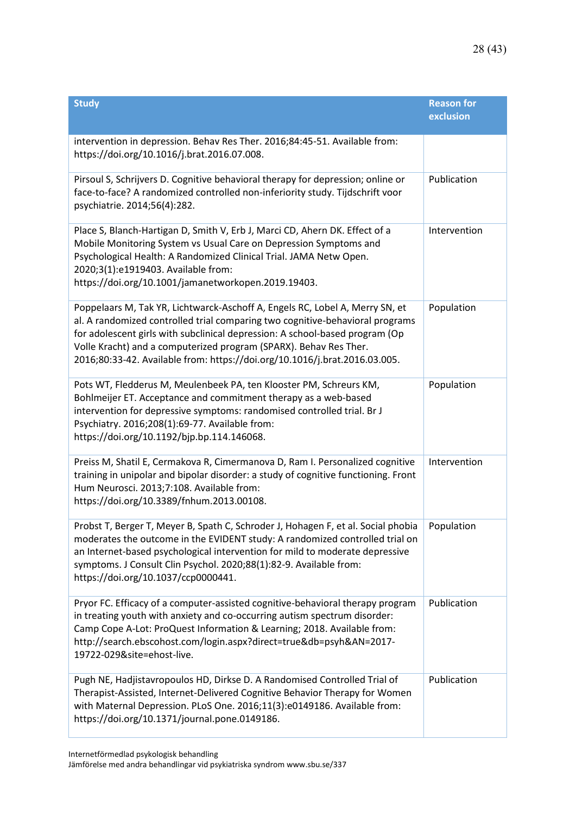| <b>Study</b>                                                                                                                                                                                                                                                                                                                                                                                     | <b>Reason for</b><br>exclusion |
|--------------------------------------------------------------------------------------------------------------------------------------------------------------------------------------------------------------------------------------------------------------------------------------------------------------------------------------------------------------------------------------------------|--------------------------------|
| intervention in depression. Behav Res Ther. 2016;84:45-51. Available from:<br>https://doi.org/10.1016/j.brat.2016.07.008.                                                                                                                                                                                                                                                                        |                                |
| Pirsoul S, Schrijvers D. Cognitive behavioral therapy for depression; online or<br>face-to-face? A randomized controlled non-inferiority study. Tijdschrift voor<br>psychiatrie. 2014;56(4):282.                                                                                                                                                                                                 | Publication                    |
| Place S, Blanch-Hartigan D, Smith V, Erb J, Marci CD, Ahern DK. Effect of a<br>Mobile Monitoring System vs Usual Care on Depression Symptoms and<br>Psychological Health: A Randomized Clinical Trial. JAMA Netw Open.<br>2020;3(1):e1919403. Available from:<br>https://doi.org/10.1001/jamanetworkopen.2019.19403.                                                                             | Intervention                   |
| Poppelaars M, Tak YR, Lichtwarck-Aschoff A, Engels RC, Lobel A, Merry SN, et<br>al. A randomized controlled trial comparing two cognitive-behavioral programs<br>for adolescent girls with subclinical depression: A school-based program (Op<br>Volle Kracht) and a computerized program (SPARX). Behav Res Ther.<br>2016;80:33-42. Available from: https://doi.org/10.1016/j.brat.2016.03.005. | Population                     |
| Pots WT, Fledderus M, Meulenbeek PA, ten Klooster PM, Schreurs KM,<br>Bohlmeijer ET. Acceptance and commitment therapy as a web-based<br>intervention for depressive symptoms: randomised controlled trial. Br J<br>Psychiatry. 2016;208(1):69-77. Available from:<br>https://doi.org/10.1192/bjp.bp.114.146068.                                                                                 | Population                     |
| Preiss M, Shatil E, Cermakova R, Cimermanova D, Ram I. Personalized cognitive<br>training in unipolar and bipolar disorder: a study of cognitive functioning. Front<br>Hum Neurosci. 2013;7:108. Available from:<br>https://doi.org/10.3389/fnhum.2013.00108.                                                                                                                                    | Intervention                   |
| Probst T, Berger T, Meyer B, Spath C, Schroder J, Hohagen F, et al. Social phobia   Population<br>moderates the outcome in the EVIDENT study: A randomized controlled trial on<br>an Internet-based psychological intervention for mild to moderate depressive<br>symptoms. J Consult Clin Psychol. 2020;88(1):82-9. Available from:<br>https://doi.org/10.1037/ccp0000441.                      |                                |
| Pryor FC. Efficacy of a computer-assisted cognitive-behavioral therapy program<br>in treating youth with anxiety and co-occurring autism spectrum disorder:<br>Camp Cope A-Lot: ProQuest Information & Learning; 2018. Available from:<br>http://search.ebscohost.com/login.aspx?direct=true&db=psyh&AN=2017-<br>19722-029&site=ehost-live.                                                      | Publication                    |
| Pugh NE, Hadjistavropoulos HD, Dirkse D. A Randomised Controlled Trial of<br>Therapist-Assisted, Internet-Delivered Cognitive Behavior Therapy for Women<br>with Maternal Depression. PLoS One. 2016;11(3):e0149186. Available from:<br>https://doi.org/10.1371/journal.pone.0149186.                                                                                                            | Publication                    |

Internetförmedlad psykologisk behandling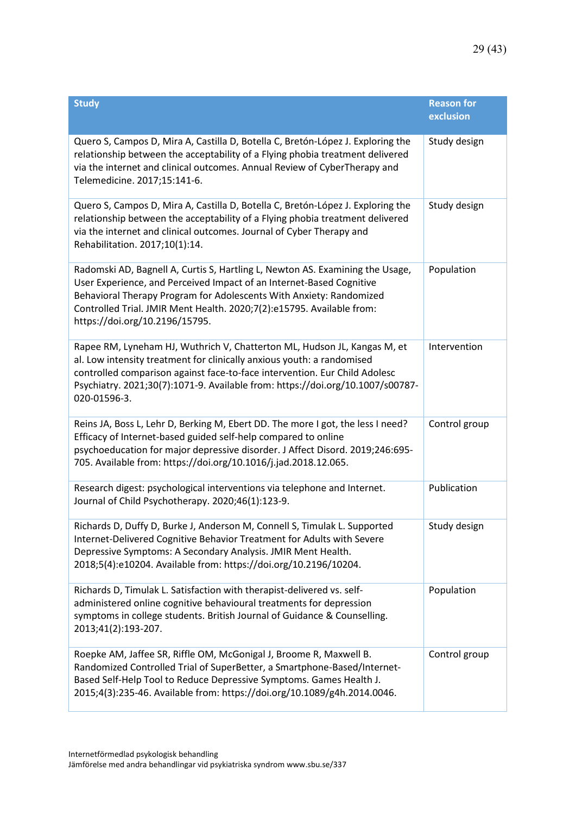| <b>Study</b>                                                                                                                                                                                                                                                                                                                            | <b>Reason for</b><br>exclusion |
|-----------------------------------------------------------------------------------------------------------------------------------------------------------------------------------------------------------------------------------------------------------------------------------------------------------------------------------------|--------------------------------|
| Quero S, Campos D, Mira A, Castilla D, Botella C, Bretón-López J. Exploring the<br>relationship between the acceptability of a Flying phobia treatment delivered<br>via the internet and clinical outcomes. Annual Review of CyberTherapy and<br>Telemedicine. 2017;15:141-6.                                                           | Study design                   |
| Quero S, Campos D, Mira A, Castilla D, Botella C, Bretón-López J. Exploring the<br>relationship between the acceptability of a Flying phobia treatment delivered<br>via the internet and clinical outcomes. Journal of Cyber Therapy and<br>Rehabilitation. 2017;10(1):14.                                                              | Study design                   |
| Radomski AD, Bagnell A, Curtis S, Hartling L, Newton AS. Examining the Usage,<br>User Experience, and Perceived Impact of an Internet-Based Cognitive<br>Behavioral Therapy Program for Adolescents With Anxiety: Randomized<br>Controlled Trial. JMIR Ment Health. 2020;7(2):e15795. Available from:<br>https://doi.org/10.2196/15795. | Population                     |
| Rapee RM, Lyneham HJ, Wuthrich V, Chatterton ML, Hudson JL, Kangas M, et<br>al. Low intensity treatment for clinically anxious youth: a randomised<br>controlled comparison against face-to-face intervention. Eur Child Adolesc<br>Psychiatry. 2021;30(7):1071-9. Available from: https://doi.org/10.1007/s00787-<br>020-01596-3.      | Intervention                   |
| Reins JA, Boss L, Lehr D, Berking M, Ebert DD. The more I got, the less I need?<br>Efficacy of Internet-based guided self-help compared to online<br>psychoeducation for major depressive disorder. J Affect Disord. 2019;246:695-<br>705. Available from: https://doi.org/10.1016/j.jad.2018.12.065.                                   | Control group                  |
| Research digest: psychological interventions via telephone and Internet.<br>Journal of Child Psychotherapy. 2020;46(1):123-9.                                                                                                                                                                                                           | Publication                    |
| Richards D, Duffy D, Burke J, Anderson M, Connell S, Timulak L. Supported<br>Internet-Delivered Cognitive Behavior Treatment for Adults with Severe<br>Depressive Symptoms: A Secondary Analysis. JMIR Ment Health.<br>2018;5(4):e10204. Available from: https://doi.org/10.2196/10204.                                                 | Study design                   |
| Richards D, Timulak L. Satisfaction with therapist-delivered vs. self-<br>administered online cognitive behavioural treatments for depression<br>symptoms in college students. British Journal of Guidance & Counselling.<br>2013;41(2):193-207.                                                                                        | Population                     |
| Roepke AM, Jaffee SR, Riffle OM, McGonigal J, Broome R, Maxwell B.<br>Randomized Controlled Trial of SuperBetter, a Smartphone-Based/Internet-<br>Based Self-Help Tool to Reduce Depressive Symptoms. Games Health J.<br>2015;4(3):235-46. Available from: https://doi.org/10.1089/g4h.2014.0046.                                       | Control group                  |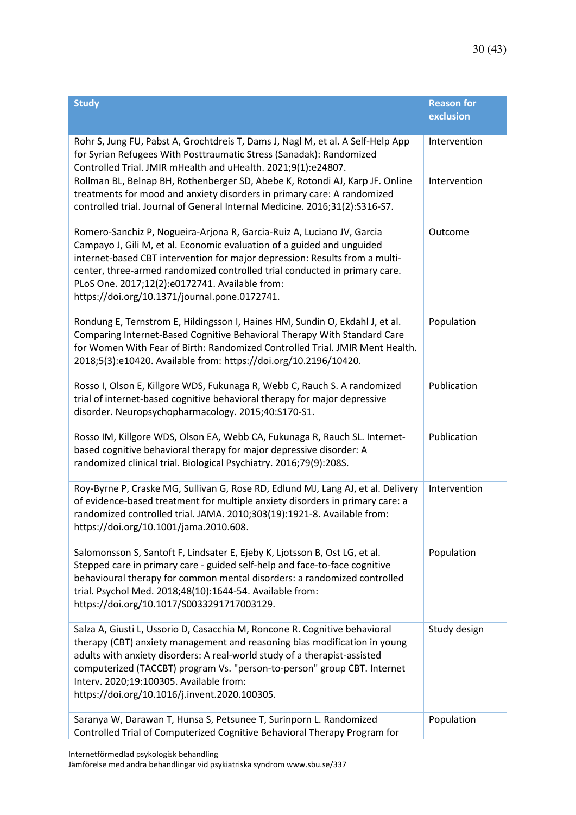| <b>Study</b>                                                                                                                                                                                                                                                                                                                                                                                                     | <b>Reason for</b><br>exclusion |
|------------------------------------------------------------------------------------------------------------------------------------------------------------------------------------------------------------------------------------------------------------------------------------------------------------------------------------------------------------------------------------------------------------------|--------------------------------|
| Rohr S, Jung FU, Pabst A, Grochtdreis T, Dams J, Nagl M, et al. A Self-Help App<br>for Syrian Refugees With Posttraumatic Stress (Sanadak): Randomized<br>Controlled Trial. JMIR mHealth and uHealth. 2021;9(1):e24807.                                                                                                                                                                                          | Intervention                   |
| Rollman BL, Belnap BH, Rothenberger SD, Abebe K, Rotondi AJ, Karp JF. Online<br>treatments for mood and anxiety disorders in primary care: A randomized<br>controlled trial. Journal of General Internal Medicine. 2016;31(2):S316-S7.                                                                                                                                                                           | Intervention                   |
| Romero-Sanchiz P, Nogueira-Arjona R, Garcia-Ruiz A, Luciano JV, Garcia<br>Campayo J, Gili M, et al. Economic evaluation of a guided and unguided<br>internet-based CBT intervention for major depression: Results from a multi-<br>center, three-armed randomized controlled trial conducted in primary care.<br>PLoS One. 2017;12(2):e0172741. Available from:<br>https://doi.org/10.1371/journal.pone.0172741. | Outcome                        |
| Rondung E, Ternstrom E, Hildingsson I, Haines HM, Sundin O, Ekdahl J, et al.<br>Comparing Internet-Based Cognitive Behavioral Therapy With Standard Care<br>for Women With Fear of Birth: Randomized Controlled Trial. JMIR Ment Health.<br>2018;5(3):e10420. Available from: https://doi.org/10.2196/10420.                                                                                                     | Population                     |
| Rosso I, Olson E, Killgore WDS, Fukunaga R, Webb C, Rauch S. A randomized<br>trial of internet-based cognitive behavioral therapy for major depressive<br>disorder. Neuropsychopharmacology. 2015;40:S170-S1.                                                                                                                                                                                                    | Publication                    |
| Rosso IM, Killgore WDS, Olson EA, Webb CA, Fukunaga R, Rauch SL. Internet-<br>based cognitive behavioral therapy for major depressive disorder: A<br>randomized clinical trial. Biological Psychiatry. 2016;79(9):208S.                                                                                                                                                                                          | Publication                    |
| Roy-Byrne P, Craske MG, Sullivan G, Rose RD, Edlund MJ, Lang AJ, et al. Delivery<br>of evidence-based treatment for multiple anxiety disorders in primary care: a<br>randomized controlled trial. JAMA. 2010;303(19):1921-8. Available from:<br>https://doi.org/10.1001/jama.2010.608.                                                                                                                           | Intervention                   |
| Salomonsson S, Santoft F, Lindsater E, Ejeby K, Ljotsson B, Ost LG, et al.<br>Stepped care in primary care - guided self-help and face-to-face cognitive<br>behavioural therapy for common mental disorders: a randomized controlled<br>trial. Psychol Med. 2018;48(10):1644-54. Available from:<br>https://doi.org/10.1017/S0033291717003129.                                                                   | Population                     |
| Salza A, Giusti L, Ussorio D, Casacchia M, Roncone R. Cognitive behavioral<br>therapy (CBT) anxiety management and reasoning bias modification in young<br>adults with anxiety disorders: A real-world study of a therapist-assisted<br>computerized (TACCBT) program Vs. "person-to-person" group CBT. Internet<br>Interv. 2020;19:100305. Available from:<br>https://doi.org/10.1016/j.invent.2020.100305.     | Study design                   |
| Saranya W, Darawan T, Hunsa S, Petsunee T, Surinporn L. Randomized<br>Controlled Trial of Computerized Cognitive Behavioral Therapy Program for                                                                                                                                                                                                                                                                  | Population                     |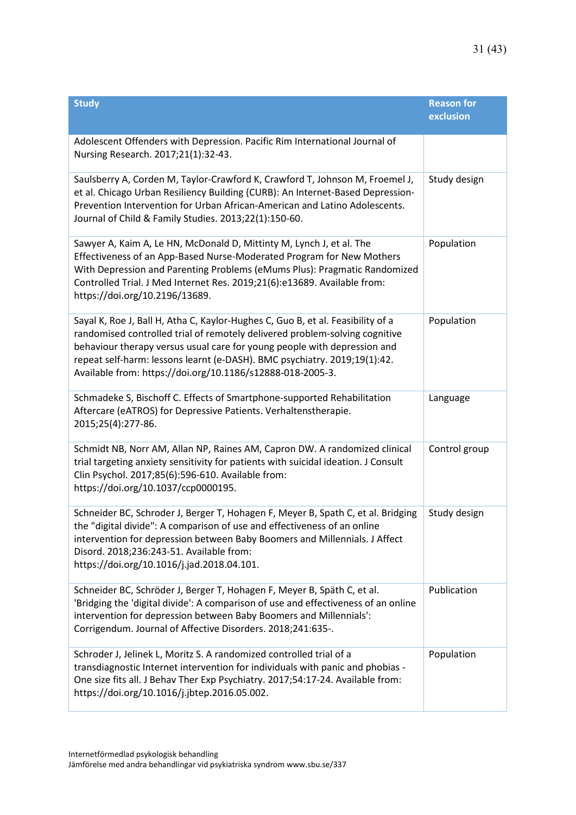| <b>Study</b>                                                                                                                                                                                                                                                                                                                                                                          | <b>Reason for</b><br>exclusion |
|---------------------------------------------------------------------------------------------------------------------------------------------------------------------------------------------------------------------------------------------------------------------------------------------------------------------------------------------------------------------------------------|--------------------------------|
| Adolescent Offenders with Depression. Pacific Rim International Journal of<br>Nursing Research. 2017;21(1):32-43.                                                                                                                                                                                                                                                                     |                                |
| Saulsberry A, Corden M, Taylor-Crawford K, Crawford T, Johnson M, Froemel J,<br>et al. Chicago Urban Resiliency Building (CURB): An Internet-Based Depression-<br>Prevention Intervention for Urban African-American and Latino Adolescents.<br>Journal of Child & Family Studies. 2013;22(1):150-60.                                                                                 | Study design                   |
| Sawyer A, Kaim A, Le HN, McDonald D, Mittinty M, Lynch J, et al. The<br>Effectiveness of an App-Based Nurse-Moderated Program for New Mothers<br>With Depression and Parenting Problems (eMums Plus): Pragmatic Randomized<br>Controlled Trial. J Med Internet Res. 2019;21(6):e13689. Available from:<br>https://doi.org/10.2196/13689.                                              | Population                     |
| Sayal K, Roe J, Ball H, Atha C, Kaylor-Hughes C, Guo B, et al. Feasibility of a<br>randomised controlled trial of remotely delivered problem-solving cognitive<br>behaviour therapy versus usual care for young people with depression and<br>repeat self-harm: lessons learnt (e-DASH). BMC psychiatry. 2019;19(1):42.<br>Available from: https://doi.org/10.1186/s12888-018-2005-3. | Population                     |
| Schmadeke S, Bischoff C. Effects of Smartphone-supported Rehabilitation<br>Aftercare (eATROS) for Depressive Patients. Verhaltenstherapie.<br>2015;25(4):277-86.                                                                                                                                                                                                                      | Language                       |
| Schmidt NB, Norr AM, Allan NP, Raines AM, Capron DW. A randomized clinical<br>trial targeting anxiety sensitivity for patients with suicidal ideation. J Consult<br>Clin Psychol. 2017;85(6):596-610. Available from:<br>https://doi.org/10.1037/ccp0000195.                                                                                                                          | Control group                  |
| Schneider BC, Schroder J, Berger T, Hohagen F, Meyer B, Spath C, et al. Bridging<br>the "digital divide": A comparison of use and effectiveness of an online<br>intervention for depression between Baby Boomers and Millennials. J Affect<br>Disord. 2018;236:243-51. Available from:<br>https://doi.org/10.1016/j.jad.2018.04.101.                                                  | Study design                   |
| Schneider BC, Schröder J, Berger T, Hohagen F, Meyer B, Späth C, et al.<br>'Bridging the 'digital divide': A comparison of use and effectiveness of an online<br>intervention for depression between Baby Boomers and Millennials':<br>Corrigendum. Journal of Affective Disorders. 2018;241:635-.                                                                                    | Publication                    |
| Schroder J, Jelinek L, Moritz S. A randomized controlled trial of a<br>transdiagnostic Internet intervention for individuals with panic and phobias -<br>One size fits all. J Behav Ther Exp Psychiatry. 2017;54:17-24. Available from:<br>https://doi.org/10.1016/j.jbtep.2016.05.002.                                                                                               | Population                     |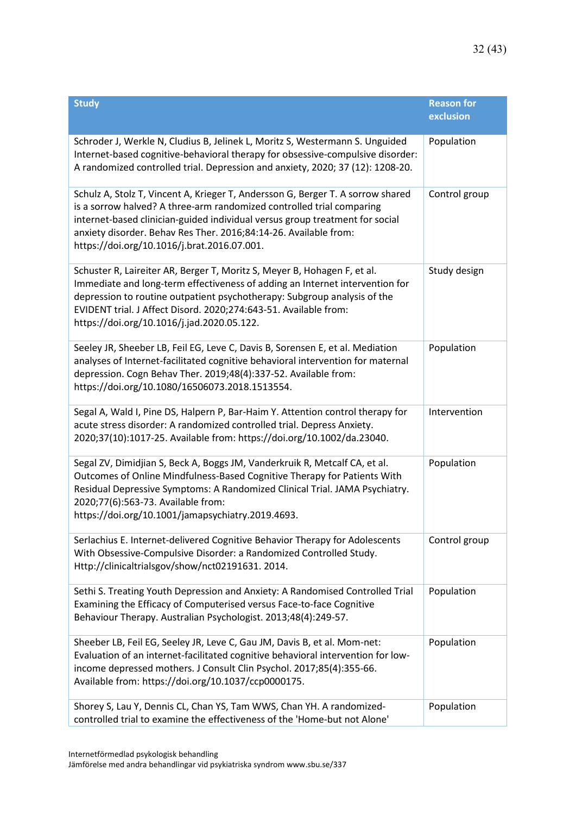| <b>Study</b>                                                                                                                                                                                                                                                                                                                                                | <b>Reason for</b><br>exclusion |
|-------------------------------------------------------------------------------------------------------------------------------------------------------------------------------------------------------------------------------------------------------------------------------------------------------------------------------------------------------------|--------------------------------|
| Schroder J, Werkle N, Cludius B, Jelinek L, Moritz S, Westermann S. Unguided<br>Internet-based cognitive-behavioral therapy for obsessive-compulsive disorder:<br>A randomized controlled trial. Depression and anxiety, 2020; 37 (12): 1208-20.                                                                                                            | Population                     |
| Schulz A, Stolz T, Vincent A, Krieger T, Andersson G, Berger T. A sorrow shared<br>is a sorrow halved? A three-arm randomized controlled trial comparing<br>internet-based clinician-guided individual versus group treatment for social<br>anxiety disorder. Behav Res Ther. 2016;84:14-26. Available from:<br>https://doi.org/10.1016/j.brat.2016.07.001. | Control group                  |
| Schuster R, Laireiter AR, Berger T, Moritz S, Meyer B, Hohagen F, et al.<br>Immediate and long-term effectiveness of adding an Internet intervention for<br>depression to routine outpatient psychotherapy: Subgroup analysis of the<br>EVIDENT trial. J Affect Disord. 2020;274:643-51. Available from:<br>https://doi.org/10.1016/j.jad.2020.05.122.      | Study design                   |
| Seeley JR, Sheeber LB, Feil EG, Leve C, Davis B, Sorensen E, et al. Mediation<br>analyses of Internet-facilitated cognitive behavioral intervention for maternal<br>depression. Cogn Behav Ther. 2019;48(4):337-52. Available from:<br>https://doi.org/10.1080/16506073.2018.1513554.                                                                       | Population                     |
| Segal A, Wald I, Pine DS, Halpern P, Bar-Haim Y. Attention control therapy for<br>acute stress disorder: A randomized controlled trial. Depress Anxiety.<br>2020;37(10):1017-25. Available from: https://doi.org/10.1002/da.23040.                                                                                                                          | Intervention                   |
| Segal ZV, Dimidjian S, Beck A, Boggs JM, Vanderkruik R, Metcalf CA, et al.<br>Outcomes of Online Mindfulness-Based Cognitive Therapy for Patients With<br>Residual Depressive Symptoms: A Randomized Clinical Trial. JAMA Psychiatry.<br>2020;77(6):563-73. Available from:<br>https://doi.org/10.1001/jamapsychiatry.2019.4693.                            | Population                     |
| Serlachius E. Internet-delivered Cognitive Behavior Therapy for Adolescents<br>With Obsessive-Compulsive Disorder: a Randomized Controlled Study.<br>Http://clinicaltrialsgov/show/nct02191631. 2014.                                                                                                                                                       | Control group                  |
| Sethi S. Treating Youth Depression and Anxiety: A Randomised Controlled Trial<br>Examining the Efficacy of Computerised versus Face-to-face Cognitive<br>Behaviour Therapy. Australian Psychologist. 2013;48(4):249-57.                                                                                                                                     | Population                     |
| Sheeber LB, Feil EG, Seeley JR, Leve C, Gau JM, Davis B, et al. Mom-net:<br>Evaluation of an internet-facilitated cognitive behavioral intervention for low-<br>income depressed mothers. J Consult Clin Psychol. 2017;85(4):355-66.<br>Available from: https://doi.org/10.1037/ccp0000175.                                                                 | Population                     |
| Shorey S, Lau Y, Dennis CL, Chan YS, Tam WWS, Chan YH. A randomized-<br>controlled trial to examine the effectiveness of the 'Home-but not Alone'                                                                                                                                                                                                           | Population                     |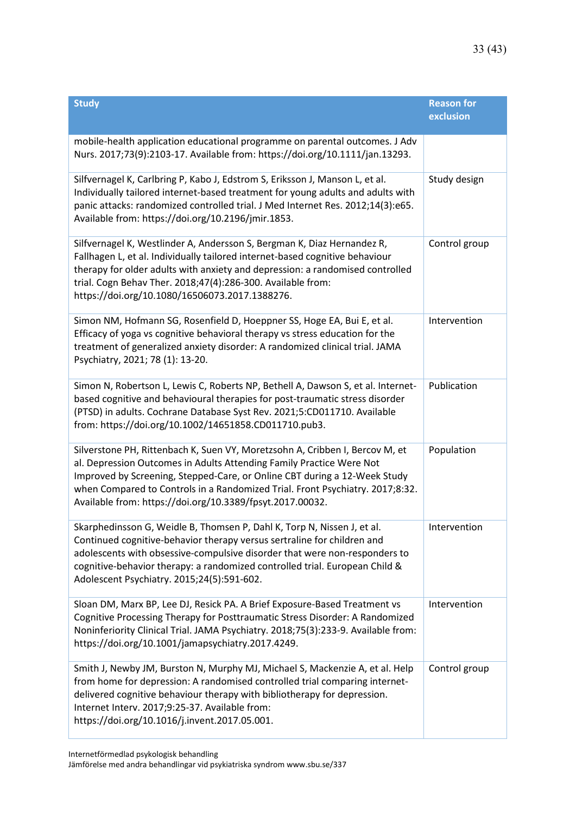| <b>Study</b>                                                                                                                                                                                                                                                                                                                                                                    | <b>Reason for</b><br>exclusion |
|---------------------------------------------------------------------------------------------------------------------------------------------------------------------------------------------------------------------------------------------------------------------------------------------------------------------------------------------------------------------------------|--------------------------------|
| mobile-health application educational programme on parental outcomes. J Adv<br>Nurs. 2017;73(9):2103-17. Available from: https://doi.org/10.1111/jan.13293.                                                                                                                                                                                                                     |                                |
| Silfvernagel K, Carlbring P, Kabo J, Edstrom S, Eriksson J, Manson L, et al.<br>Individually tailored internet-based treatment for young adults and adults with<br>panic attacks: randomized controlled trial. J Med Internet Res. 2012;14(3):e65.<br>Available from: https://doi.org/10.2196/jmir.1853.                                                                        | Study design                   |
| Silfvernagel K, Westlinder A, Andersson S, Bergman K, Diaz Hernandez R,<br>Fallhagen L, et al. Individually tailored internet-based cognitive behaviour<br>therapy for older adults with anxiety and depression: a randomised controlled<br>trial. Cogn Behav Ther. 2018;47(4):286-300. Available from:<br>https://doi.org/10.1080/16506073.2017.1388276.                       | Control group                  |
| Simon NM, Hofmann SG, Rosenfield D, Hoeppner SS, Hoge EA, Bui E, et al.<br>Efficacy of yoga vs cognitive behavioral therapy vs stress education for the<br>treatment of generalized anxiety disorder: A randomized clinical trial. JAMA<br>Psychiatry, 2021; 78 (1): 13-20.                                                                                                     | Intervention                   |
| Simon N, Robertson L, Lewis C, Roberts NP, Bethell A, Dawson S, et al. Internet-<br>based cognitive and behavioural therapies for post-traumatic stress disorder<br>(PTSD) in adults. Cochrane Database Syst Rev. 2021;5:CD011710. Available<br>from: https://doi.org/10.1002/14651858.CD011710.pub3.                                                                           | Publication                    |
| Silverstone PH, Rittenbach K, Suen VY, Moretzsohn A, Cribben I, Bercov M, et<br>al. Depression Outcomes in Adults Attending Family Practice Were Not<br>Improved by Screening, Stepped-Care, or Online CBT during a 12-Week Study<br>when Compared to Controls in a Randomized Trial. Front Psychiatry. 2017;8:32.<br>Available from: https://doi.org/10.3389/fpsyt.2017.00032. | Population                     |
| Skarphedinsson G, Weidle B, Thomsen P, Dahl K, Torp N, Nissen J, et al.<br>Continued cognitive-behavior therapy versus sertraline for children and<br>adolescents with obsessive-compulsive disorder that were non-responders to<br>cognitive-behavior therapy: a randomized controlled trial. European Child &<br>Adolescent Psychiatry. 2015;24(5):591-602.                   | Intervention                   |
| Sloan DM, Marx BP, Lee DJ, Resick PA. A Brief Exposure-Based Treatment vs<br>Cognitive Processing Therapy for Posttraumatic Stress Disorder: A Randomized<br>Noninferiority Clinical Trial. JAMA Psychiatry. 2018;75(3):233-9. Available from:<br>https://doi.org/10.1001/jamapsychiatry.2017.4249.                                                                             | Intervention                   |
| Smith J, Newby JM, Burston N, Murphy MJ, Michael S, Mackenzie A, et al. Help<br>from home for depression: A randomised controlled trial comparing internet-<br>delivered cognitive behaviour therapy with bibliotherapy for depression.<br>Internet Interv. 2017;9:25-37. Available from:<br>https://doi.org/10.1016/j.invent.2017.05.001.                                      | Control group                  |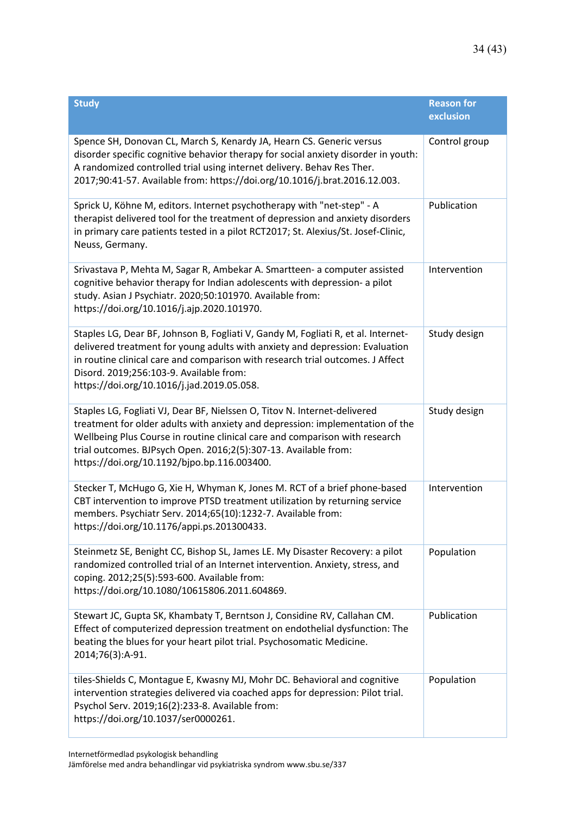| <b>Study</b>                                                                                                                                                                                                                                                                                                                                                | <b>Reason for</b><br>exclusion |
|-------------------------------------------------------------------------------------------------------------------------------------------------------------------------------------------------------------------------------------------------------------------------------------------------------------------------------------------------------------|--------------------------------|
| Spence SH, Donovan CL, March S, Kenardy JA, Hearn CS. Generic versus<br>disorder specific cognitive behavior therapy for social anxiety disorder in youth:<br>A randomized controlled trial using internet delivery. Behav Res Ther.<br>2017;90:41-57. Available from: https://doi.org/10.1016/j.brat.2016.12.003.                                          | Control group                  |
| Sprick U, Köhne M, editors. Internet psychotherapy with "net-step" - A<br>therapist delivered tool for the treatment of depression and anxiety disorders<br>in primary care patients tested in a pilot RCT2017; St. Alexius/St. Josef-Clinic,<br>Neuss, Germany.                                                                                            | Publication                    |
| Srivastava P, Mehta M, Sagar R, Ambekar A. Smartteen- a computer assisted<br>cognitive behavior therapy for Indian adolescents with depression- a pilot<br>study. Asian J Psychiatr. 2020;50:101970. Available from:<br>https://doi.org/10.1016/j.ajp.2020.101970.                                                                                          | Intervention                   |
| Staples LG, Dear BF, Johnson B, Fogliati V, Gandy M, Fogliati R, et al. Internet-<br>delivered treatment for young adults with anxiety and depression: Evaluation<br>in routine clinical care and comparison with research trial outcomes. J Affect<br>Disord. 2019;256:103-9. Available from:<br>https://doi.org/10.1016/j.jad.2019.05.058.                | Study design                   |
| Staples LG, Fogliati VJ, Dear BF, Nielssen O, Titov N. Internet-delivered<br>treatment for older adults with anxiety and depression: implementation of the<br>Wellbeing Plus Course in routine clinical care and comparison with research<br>trial outcomes. BJPsych Open. 2016;2(5):307-13. Available from:<br>https://doi.org/10.1192/bjpo.bp.116.003400. | Study design                   |
| Stecker T, McHugo G, Xie H, Whyman K, Jones M. RCT of a brief phone-based<br>CBT intervention to improve PTSD treatment utilization by returning service<br>members. Psychiatr Serv. 2014;65(10):1232-7. Available from:<br>https://doi.org/10.1176/appi.ps.201300433.                                                                                      | Intervention                   |
| Steinmetz SE, Benight CC, Bishop SL, James LE. My Disaster Recovery: a pilot<br>randomized controlled trial of an Internet intervention. Anxiety, stress, and<br>coping. 2012;25(5):593-600. Available from:<br>https://doi.org/10.1080/10615806.2011.604869.                                                                                               | Population                     |
| Stewart JC, Gupta SK, Khambaty T, Berntson J, Considine RV, Callahan CM.<br>Effect of computerized depression treatment on endothelial dysfunction: The<br>beating the blues for your heart pilot trial. Psychosomatic Medicine.<br>2014;76(3):A-91.                                                                                                        | Publication                    |
| tiles-Shields C, Montague E, Kwasny MJ, Mohr DC. Behavioral and cognitive<br>intervention strategies delivered via coached apps for depression: Pilot trial.<br>Psychol Serv. 2019;16(2):233-8. Available from:<br>https://doi.org/10.1037/ser0000261.                                                                                                      | Population                     |

Internetförmedlad psykologisk behandling

Jämförelse med andra behandlingar vid psykiatriska syndrom www.sbu.se/337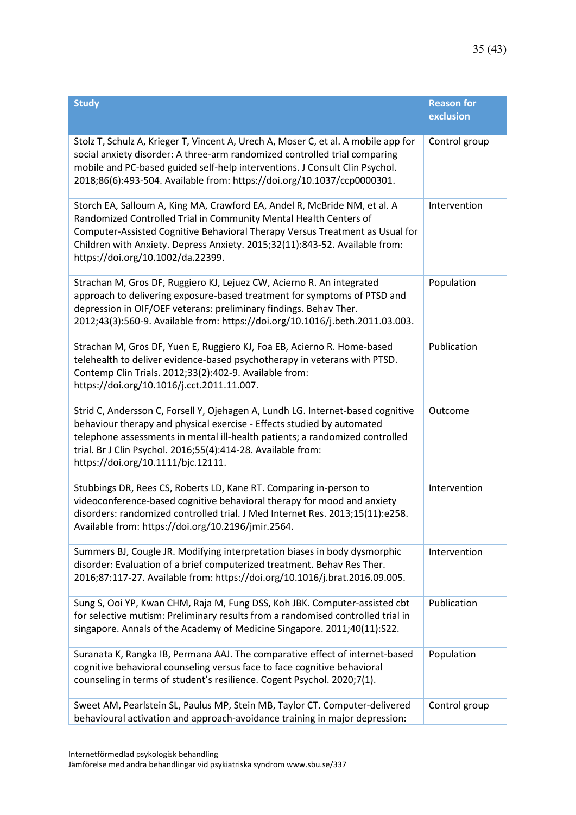| <b>Study</b>                                                                                                                                                                                                                                                                                                                                       | <b>Reason for</b><br>exclusion |
|----------------------------------------------------------------------------------------------------------------------------------------------------------------------------------------------------------------------------------------------------------------------------------------------------------------------------------------------------|--------------------------------|
| Stolz T, Schulz A, Krieger T, Vincent A, Urech A, Moser C, et al. A mobile app for<br>social anxiety disorder: A three-arm randomized controlled trial comparing<br>mobile and PC-based guided self-help interventions. J Consult Clin Psychol.<br>2018;86(6):493-504. Available from: https://doi.org/10.1037/ccp0000301.                         | Control group                  |
| Storch EA, Salloum A, King MA, Crawford EA, Andel R, McBride NM, et al. A<br>Randomized Controlled Trial in Community Mental Health Centers of<br>Computer-Assisted Cognitive Behavioral Therapy Versus Treatment as Usual for<br>Children with Anxiety. Depress Anxiety. 2015;32(11):843-52. Available from:<br>https://doi.org/10.1002/da.22399. | Intervention                   |
| Strachan M, Gros DF, Ruggiero KJ, Lejuez CW, Acierno R. An integrated<br>approach to delivering exposure-based treatment for symptoms of PTSD and<br>depression in OIF/OEF veterans: preliminary findings. Behav Ther.<br>2012;43(3):560-9. Available from: https://doi.org/10.1016/j.beth.2011.03.003.                                            | Population                     |
| Strachan M, Gros DF, Yuen E, Ruggiero KJ, Foa EB, Acierno R. Home-based<br>telehealth to deliver evidence-based psychotherapy in veterans with PTSD.<br>Contemp Clin Trials. 2012;33(2):402-9. Available from:<br>https://doi.org/10.1016/j.cct.2011.11.007.                                                                                       | Publication                    |
| Strid C, Andersson C, Forsell Y, Ojehagen A, Lundh LG. Internet-based cognitive<br>behaviour therapy and physical exercise - Effects studied by automated<br>telephone assessments in mental ill-health patients; a randomized controlled<br>trial. Br J Clin Psychol. 2016;55(4):414-28. Available from:<br>https://doi.org/10.1111/bjc.12111.    | Outcome                        |
| Stubbings DR, Rees CS, Roberts LD, Kane RT. Comparing in-person to<br>videoconference-based cognitive behavioral therapy for mood and anxiety<br>disorders: randomized controlled trial. J Med Internet Res. 2013;15(11):e258.<br>Available from: https://doi.org/10.2196/jmir.2564.                                                               | Intervention                   |
| Summers BJ, Cougle JR. Modifying interpretation biases in body dysmorphic<br>disorder: Evaluation of a brief computerized treatment. Behav Res Ther.<br>2016;87:117-27. Available from: https://doi.org/10.1016/j.brat.2016.09.005.                                                                                                                | Intervention                   |
| Sung S, Ooi YP, Kwan CHM, Raja M, Fung DSS, Koh JBK. Computer-assisted cbt<br>for selective mutism: Preliminary results from a randomised controlled trial in<br>singapore. Annals of the Academy of Medicine Singapore. 2011;40(11):S22.                                                                                                          | Publication                    |
| Suranata K, Rangka IB, Permana AAJ. The comparative effect of internet-based<br>cognitive behavioral counseling versus face to face cognitive behavioral<br>counseling in terms of student's resilience. Cogent Psychol. 2020;7(1).                                                                                                                | Population                     |
| Sweet AM, Pearlstein SL, Paulus MP, Stein MB, Taylor CT. Computer-delivered<br>behavioural activation and approach-avoidance training in major depression:                                                                                                                                                                                         | Control group                  |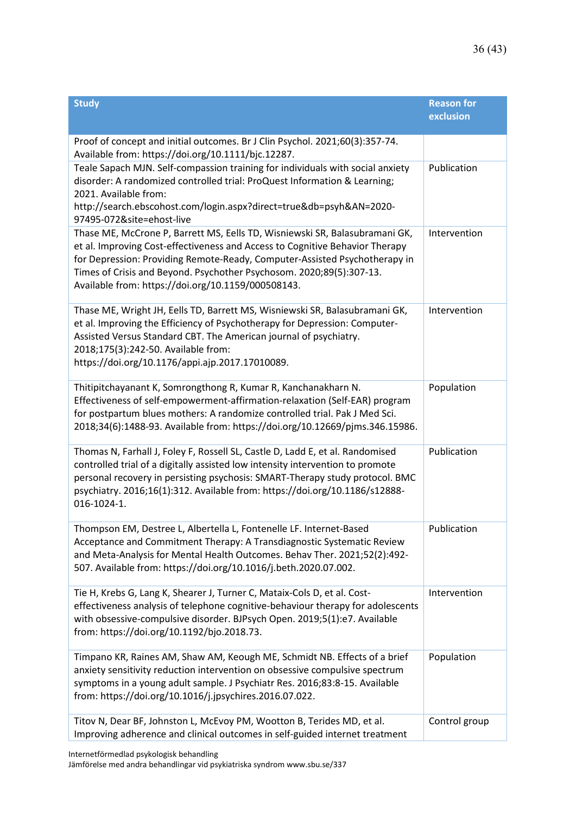| <b>Study</b>                                                                                                                                                                                                                                                                                                                                                            | <b>Reason for</b><br>exclusion |
|-------------------------------------------------------------------------------------------------------------------------------------------------------------------------------------------------------------------------------------------------------------------------------------------------------------------------------------------------------------------------|--------------------------------|
| Proof of concept and initial outcomes. Br J Clin Psychol. 2021;60(3):357-74.<br>Available from: https://doi.org/10.1111/bjc.12287.                                                                                                                                                                                                                                      |                                |
| Teale Sapach MJN. Self-compassion training for individuals with social anxiety<br>disorder: A randomized controlled trial: ProQuest Information & Learning;<br>2021. Available from:<br>http://search.ebscohost.com/login.aspx?direct=true&db=psyh&AN=2020-<br>97495-072&site=ehost-live                                                                                | Publication                    |
| Thase ME, McCrone P, Barrett MS, Eells TD, Wisniewski SR, Balasubramani GK,<br>et al. Improving Cost-effectiveness and Access to Cognitive Behavior Therapy<br>for Depression: Providing Remote-Ready, Computer-Assisted Psychotherapy in<br>Times of Crisis and Beyond. Psychother Psychosom. 2020;89(5):307-13.<br>Available from: https://doi.org/10.1159/000508143. | Intervention                   |
| Thase ME, Wright JH, Eells TD, Barrett MS, Wisniewski SR, Balasubramani GK,<br>et al. Improving the Efficiency of Psychotherapy for Depression: Computer-<br>Assisted Versus Standard CBT. The American journal of psychiatry.<br>2018;175(3):242-50. Available from:<br>https://doi.org/10.1176/appi.ajp.2017.17010089.                                                | Intervention                   |
| Thitipitchayanant K, Somrongthong R, Kumar R, Kanchanakharn N.<br>Effectiveness of self-empowerment-affirmation-relaxation (Self-EAR) program<br>for postpartum blues mothers: A randomize controlled trial. Pak J Med Sci.<br>2018;34(6):1488-93. Available from: https://doi.org/10.12669/pjms.346.15986.                                                             | Population                     |
| Thomas N, Farhall J, Foley F, Rossell SL, Castle D, Ladd E, et al. Randomised<br>controlled trial of a digitally assisted low intensity intervention to promote<br>personal recovery in persisting psychosis: SMART-Therapy study protocol. BMC<br>psychiatry. 2016;16(1):312. Available from: https://doi.org/10.1186/s12888-<br>016-1024-1.                           | Publication                    |
| Thompson EM, Destree L, Albertella L, Fontenelle LF. Internet-Based<br>Acceptance and Commitment Therapy: A Transdiagnostic Systematic Review<br>and Meta-Analysis for Mental Health Outcomes. Behav Ther. 2021;52(2):492-<br>507. Available from: https://doi.org/10.1016/j.beth.2020.07.002.                                                                          | Publication                    |
| Tie H, Krebs G, Lang K, Shearer J, Turner C, Mataix-Cols D, et al. Cost-<br>effectiveness analysis of telephone cognitive-behaviour therapy for adolescents<br>with obsessive-compulsive disorder. BJPsych Open. 2019;5(1):e7. Available<br>from: https://doi.org/10.1192/bjo.2018.73.                                                                                  | Intervention                   |
| Timpano KR, Raines AM, Shaw AM, Keough ME, Schmidt NB. Effects of a brief<br>anxiety sensitivity reduction intervention on obsessive compulsive spectrum<br>symptoms in a young adult sample. J Psychiatr Res. 2016;83:8-15. Available<br>from: https://doi.org/10.1016/j.jpsychires.2016.07.022.                                                                       | Population                     |
| Titov N, Dear BF, Johnston L, McEvoy PM, Wootton B, Terides MD, et al.<br>Improving adherence and clinical outcomes in self-guided internet treatment                                                                                                                                                                                                                   | Control group                  |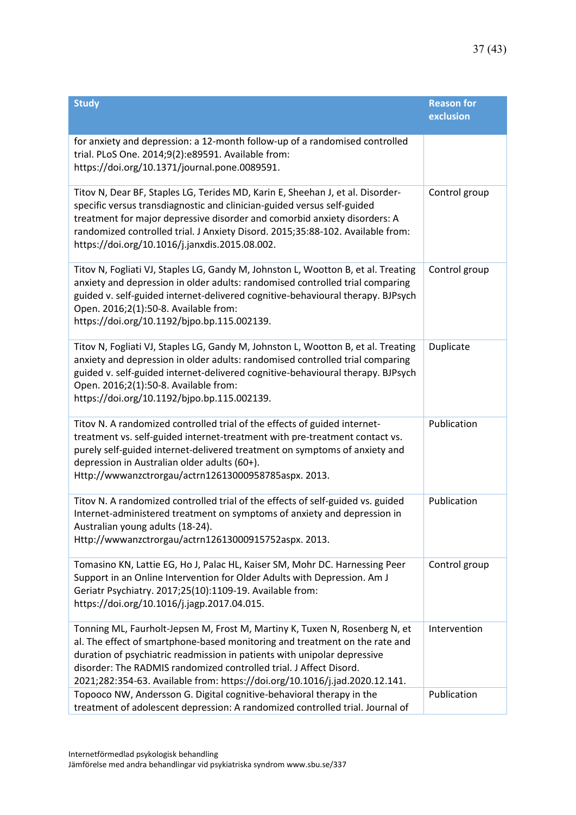| <b>Study</b>                                                                                                                                                                                                                                                                                                                                                                                | <b>Reason for</b><br>exclusion |
|---------------------------------------------------------------------------------------------------------------------------------------------------------------------------------------------------------------------------------------------------------------------------------------------------------------------------------------------------------------------------------------------|--------------------------------|
| for anxiety and depression: a 12-month follow-up of a randomised controlled<br>trial. PLoS One. 2014;9(2):e89591. Available from:<br>https://doi.org/10.1371/journal.pone.0089591.                                                                                                                                                                                                          |                                |
| Titov N, Dear BF, Staples LG, Terides MD, Karin E, Sheehan J, et al. Disorder-<br>specific versus transdiagnostic and clinician-guided versus self-guided<br>treatment for major depressive disorder and comorbid anxiety disorders: A<br>randomized controlled trial. J Anxiety Disord. 2015;35:88-102. Available from:<br>https://doi.org/10.1016/j.janxdis.2015.08.002.                  | Control group                  |
| Titov N, Fogliati VJ, Staples LG, Gandy M, Johnston L, Wootton B, et al. Treating<br>anxiety and depression in older adults: randomised controlled trial comparing<br>guided v. self-guided internet-delivered cognitive-behavioural therapy. BJPsych<br>Open. 2016;2(1):50-8. Available from:<br>https://doi.org/10.1192/bjpo.bp.115.002139.                                               | Control group                  |
| Titov N, Fogliati VJ, Staples LG, Gandy M, Johnston L, Wootton B, et al. Treating<br>anxiety and depression in older adults: randomised controlled trial comparing<br>guided v. self-guided internet-delivered cognitive-behavioural therapy. BJPsych<br>Open. 2016;2(1):50-8. Available from:<br>https://doi.org/10.1192/bjpo.bp.115.002139.                                               | Duplicate                      |
| Titov N. A randomized controlled trial of the effects of guided internet-<br>treatment vs. self-guided internet-treatment with pre-treatment contact vs.<br>purely self-guided internet-delivered treatment on symptoms of anxiety and<br>depression in Australian older adults (60+).<br>Http://wwwanzctrorgau/actrn12613000958785aspx. 2013.                                              | Publication                    |
| Titov N. A randomized controlled trial of the effects of self-guided vs. guided<br>Internet-administered treatment on symptoms of anxiety and depression in<br>Australian young adults (18-24).<br>Http://wwwanzctrorgau/actrn12613000915752aspx. 2013.                                                                                                                                     | Publication                    |
| Tomasino KN, Lattie EG, Ho J, Palac HL, Kaiser SM, Mohr DC. Harnessing Peer<br>Support in an Online Intervention for Older Adults with Depression. Am J<br>Geriatr Psychiatry. 2017;25(10):1109-19. Available from:<br>https://doi.org/10.1016/j.jagp.2017.04.015.                                                                                                                          | Control group                  |
| Tonning ML, Faurholt-Jepsen M, Frost M, Martiny K, Tuxen N, Rosenberg N, et<br>al. The effect of smartphone-based monitoring and treatment on the rate and<br>duration of psychiatric readmission in patients with unipolar depressive<br>disorder: The RADMIS randomized controlled trial. J Affect Disord.<br>2021;282:354-63. Available from: https://doi.org/10.1016/j.jad.2020.12.141. | Intervention                   |
| Topooco NW, Andersson G. Digital cognitive-behavioral therapy in the<br>treatment of adolescent depression: A randomized controlled trial. Journal of                                                                                                                                                                                                                                       | Publication                    |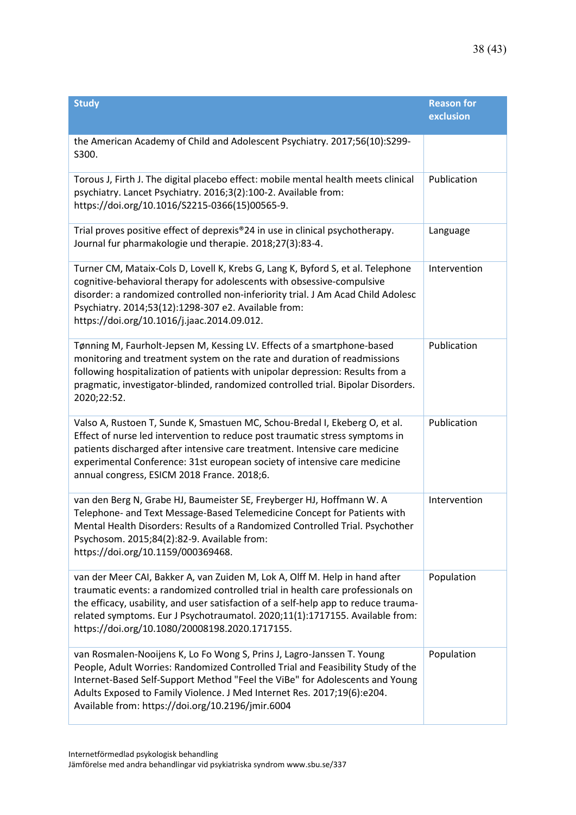| <b>Study</b>                                                                                                                                                                                                                                                                                                                                                                            | <b>Reason for</b><br>exclusion |
|-----------------------------------------------------------------------------------------------------------------------------------------------------------------------------------------------------------------------------------------------------------------------------------------------------------------------------------------------------------------------------------------|--------------------------------|
| the American Academy of Child and Adolescent Psychiatry. 2017;56(10):S299-<br>S300.                                                                                                                                                                                                                                                                                                     |                                |
| Torous J, Firth J. The digital placebo effect: mobile mental health meets clinical<br>psychiatry. Lancet Psychiatry. 2016;3(2):100-2. Available from:<br>https://doi.org/10.1016/S2215-0366(15)00565-9.                                                                                                                                                                                 | Publication                    |
| Trial proves positive effect of deprexis®24 in use in clinical psychotherapy.<br>Journal fur pharmakologie und therapie. 2018;27(3):83-4.                                                                                                                                                                                                                                               | Language                       |
| Turner CM, Mataix-Cols D, Lovell K, Krebs G, Lang K, Byford S, et al. Telephone<br>cognitive-behavioral therapy for adolescents with obsessive-compulsive<br>disorder: a randomized controlled non-inferiority trial. J Am Acad Child Adolesc<br>Psychiatry. 2014;53(12):1298-307 e2. Available from:<br>https://doi.org/10.1016/j.jaac.2014.09.012.                                    | Intervention                   |
| Tønning M, Faurholt-Jepsen M, Kessing LV. Effects of a smartphone-based<br>monitoring and treatment system on the rate and duration of readmissions<br>following hospitalization of patients with unipolar depression: Results from a<br>pragmatic, investigator-blinded, randomized controlled trial. Bipolar Disorders.<br>2020;22:52.                                                | Publication                    |
| Valso A, Rustoen T, Sunde K, Smastuen MC, Schou-Bredal I, Ekeberg O, et al.<br>Effect of nurse led intervention to reduce post traumatic stress symptoms in<br>patients discharged after intensive care treatment. Intensive care medicine<br>experimental Conference: 31st european society of intensive care medicine<br>annual congress, ESICM 2018 France. 2018;6.                  | Publication                    |
| van den Berg N, Grabe HJ, Baumeister SE, Freyberger HJ, Hoffmann W. A<br>Telephone- and Text Message-Based Telemedicine Concept for Patients with<br>Mental Health Disorders: Results of a Randomized Controlled Trial. Psychother<br>Psychosom. 2015;84(2):82-9. Available from:<br>https://doi.org/10.1159/000369468.                                                                 | Intervention                   |
| van der Meer CAI, Bakker A, van Zuiden M, Lok A, Olff M. Help in hand after<br>traumatic events: a randomized controlled trial in health care professionals on<br>the efficacy, usability, and user satisfaction of a self-help app to reduce trauma-<br>related symptoms. Eur J Psychotraumatol. 2020;11(1):1717155. Available from:<br>https://doi.org/10.1080/20008198.2020.1717155. | Population                     |
| van Rosmalen-Nooijens K, Lo Fo Wong S, Prins J, Lagro-Janssen T. Young<br>People, Adult Worries: Randomized Controlled Trial and Feasibility Study of the<br>Internet-Based Self-Support Method "Feel the ViBe" for Adolescents and Young<br>Adults Exposed to Family Violence. J Med Internet Res. 2017;19(6):e204.<br>Available from: https://doi.org/10.2196/jmir.6004               | Population                     |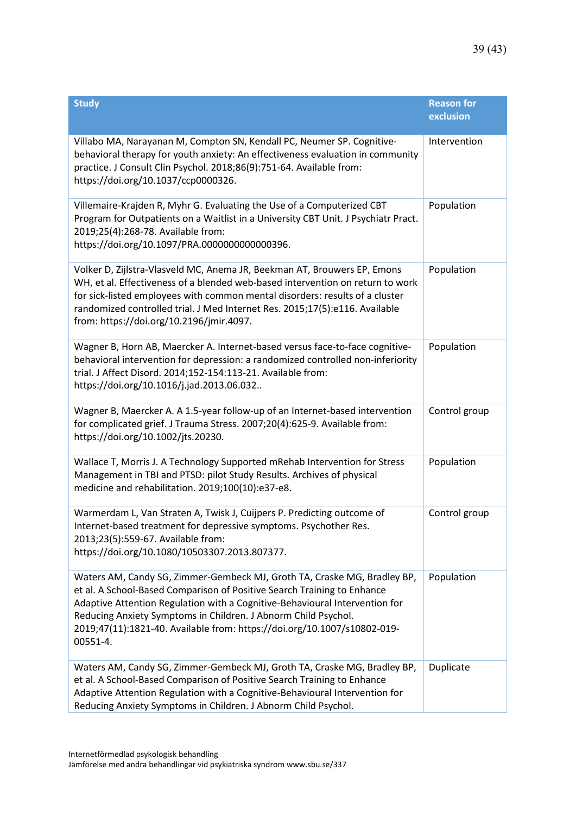| <b>Study</b>                                                                                                                                                                                                                                                                                                                                                                                 | <b>Reason for</b><br>exclusion |
|----------------------------------------------------------------------------------------------------------------------------------------------------------------------------------------------------------------------------------------------------------------------------------------------------------------------------------------------------------------------------------------------|--------------------------------|
| Villabo MA, Narayanan M, Compton SN, Kendall PC, Neumer SP. Cognitive-<br>behavioral therapy for youth anxiety: An effectiveness evaluation in community<br>practice. J Consult Clin Psychol. 2018;86(9):751-64. Available from:<br>https://doi.org/10.1037/ccp0000326.                                                                                                                      | Intervention                   |
| Villemaire-Krajden R, Myhr G. Evaluating the Use of a Computerized CBT<br>Program for Outpatients on a Waitlist in a University CBT Unit. J Psychiatr Pract.<br>2019;25(4):268-78. Available from:<br>https://doi.org/10.1097/PRA.0000000000000396.                                                                                                                                          | Population                     |
| Volker D, Zijlstra-Vlasveld MC, Anema JR, Beekman AT, Brouwers EP, Emons<br>WH, et al. Effectiveness of a blended web-based intervention on return to work<br>for sick-listed employees with common mental disorders: results of a cluster<br>randomized controlled trial. J Med Internet Res. 2015;17(5):e116. Available<br>from: https://doi.org/10.2196/jmir.4097.                        | Population                     |
| Wagner B, Horn AB, Maercker A. Internet-based versus face-to-face cognitive-<br>behavioral intervention for depression: a randomized controlled non-inferiority<br>trial. J Affect Disord. 2014;152-154:113-21. Available from:<br>https://doi.org/10.1016/j.jad.2013.06.032                                                                                                                 | Population                     |
| Wagner B, Maercker A. A 1.5-year follow-up of an Internet-based intervention<br>for complicated grief. J Trauma Stress. 2007;20(4):625-9. Available from:<br>https://doi.org/10.1002/jts.20230.                                                                                                                                                                                              | Control group                  |
| Wallace T, Morris J. A Technology Supported mRehab Intervention for Stress<br>Management in TBI and PTSD: pilot Study Results. Archives of physical<br>medicine and rehabilitation. 2019;100(10):e37-e8.                                                                                                                                                                                     | Population                     |
| Warmerdam L, Van Straten A, Twisk J, Cuijpers P. Predicting outcome of<br>Internet-based treatment for depressive symptoms. Psychother Res.<br>2013;23(5):559-67. Available from:<br>https://doi.org/10.1080/10503307.2013.807377.                                                                                                                                                           | Control group                  |
| Waters AM, Candy SG, Zimmer-Gembeck MJ, Groth TA, Craske MG, Bradley BP,<br>et al. A School-Based Comparison of Positive Search Training to Enhance<br>Adaptive Attention Regulation with a Cognitive-Behavioural Intervention for<br>Reducing Anxiety Symptoms in Children. J Abnorm Child Psychol.<br>2019;47(11):1821-40. Available from: https://doi.org/10.1007/s10802-019-<br>00551-4. | Population                     |
| Waters AM, Candy SG, Zimmer-Gembeck MJ, Groth TA, Craske MG, Bradley BP,<br>et al. A School-Based Comparison of Positive Search Training to Enhance<br>Adaptive Attention Regulation with a Cognitive-Behavioural Intervention for<br>Reducing Anxiety Symptoms in Children. J Abnorm Child Psychol.                                                                                         | Duplicate                      |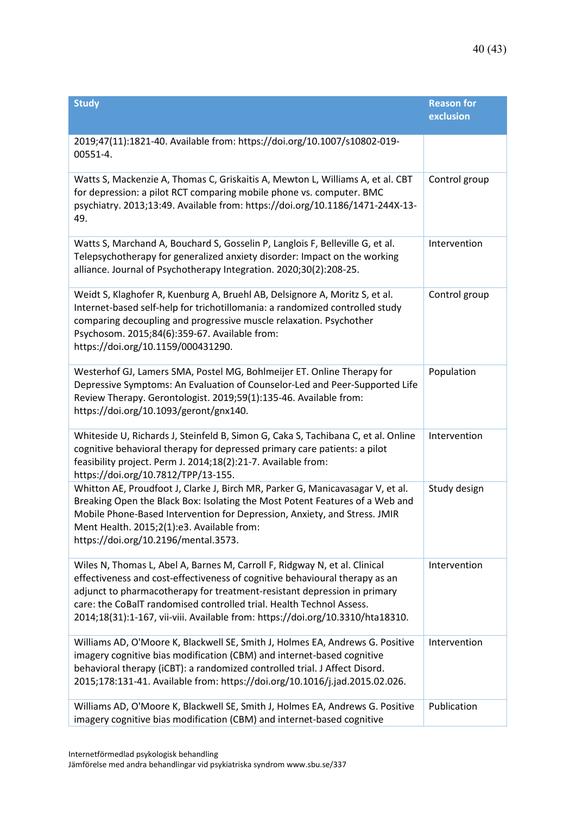| <b>Study</b>                                                                                                                                                                                                                                                                                                                                                                                    | <b>Reason for</b><br>exclusion |
|-------------------------------------------------------------------------------------------------------------------------------------------------------------------------------------------------------------------------------------------------------------------------------------------------------------------------------------------------------------------------------------------------|--------------------------------|
| 2019;47(11):1821-40. Available from: https://doi.org/10.1007/s10802-019-<br>00551-4.                                                                                                                                                                                                                                                                                                            |                                |
| Watts S, Mackenzie A, Thomas C, Griskaitis A, Mewton L, Williams A, et al. CBT<br>for depression: a pilot RCT comparing mobile phone vs. computer. BMC<br>psychiatry. 2013;13:49. Available from: https://doi.org/10.1186/1471-244X-13-<br>49.                                                                                                                                                  | Control group                  |
| Watts S, Marchand A, Bouchard S, Gosselin P, Langlois F, Belleville G, et al.<br>Telepsychotherapy for generalized anxiety disorder: Impact on the working<br>alliance. Journal of Psychotherapy Integration. 2020;30(2):208-25.                                                                                                                                                                | Intervention                   |
| Weidt S, Klaghofer R, Kuenburg A, Bruehl AB, Delsignore A, Moritz S, et al.<br>Internet-based self-help for trichotillomania: a randomized controlled study<br>comparing decoupling and progressive muscle relaxation. Psychother<br>Psychosom. 2015;84(6):359-67. Available from:<br>https://doi.org/10.1159/000431290.                                                                        | Control group                  |
| Westerhof GJ, Lamers SMA, Postel MG, Bohlmeijer ET. Online Therapy for<br>Depressive Symptoms: An Evaluation of Counselor-Led and Peer-Supported Life<br>Review Therapy. Gerontologist. 2019;59(1):135-46. Available from:<br>https://doi.org/10.1093/geront/gnx140.                                                                                                                            | Population                     |
| Whiteside U, Richards J, Steinfeld B, Simon G, Caka S, Tachibana C, et al. Online<br>cognitive behavioral therapy for depressed primary care patients: a pilot<br>feasibility project. Perm J. 2014;18(2):21-7. Available from:<br>https://doi.org/10.7812/TPP/13-155.                                                                                                                          | Intervention                   |
| Whitton AE, Proudfoot J, Clarke J, Birch MR, Parker G, Manicavasagar V, et al.<br>Breaking Open the Black Box: Isolating the Most Potent Features of a Web and<br>Mobile Phone-Based Intervention for Depression, Anxiety, and Stress. JMIR<br>Ment Health. 2015;2(1):e3. Available from:<br>https://doi.org/10.2196/mental.3573.                                                               | Study design                   |
| Wiles N, Thomas L, Abel A, Barnes M, Carroll F, Ridgway N, et al. Clinical<br>effectiveness and cost-effectiveness of cognitive behavioural therapy as an<br>adjunct to pharmacotherapy for treatment-resistant depression in primary<br>care: the CoBalT randomised controlled trial. Health Technol Assess.<br>2014;18(31):1-167, vii-viii. Available from: https://doi.org/10.3310/hta18310. | Intervention                   |
| Williams AD, O'Moore K, Blackwell SE, Smith J, Holmes EA, Andrews G. Positive<br>imagery cognitive bias modification (CBM) and internet-based cognitive<br>behavioral therapy (iCBT): a randomized controlled trial. J Affect Disord.<br>2015;178:131-41. Available from: https://doi.org/10.1016/j.jad.2015.02.026.                                                                            | Intervention                   |
| Williams AD, O'Moore K, Blackwell SE, Smith J, Holmes EA, Andrews G. Positive<br>imagery cognitive bias modification (CBM) and internet-based cognitive                                                                                                                                                                                                                                         | Publication                    |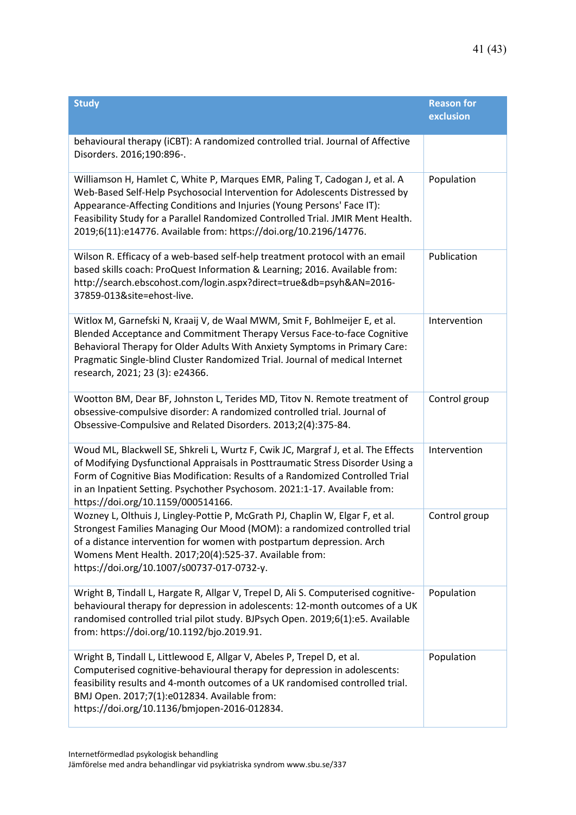| <b>Study</b>                                                                                                                                                                                                                                                                                                                                                                                 | <b>Reason for</b><br>exclusion |
|----------------------------------------------------------------------------------------------------------------------------------------------------------------------------------------------------------------------------------------------------------------------------------------------------------------------------------------------------------------------------------------------|--------------------------------|
| behavioural therapy (iCBT): A randomized controlled trial. Journal of Affective<br>Disorders. 2016;190:896-.                                                                                                                                                                                                                                                                                 |                                |
| Williamson H, Hamlet C, White P, Marques EMR, Paling T, Cadogan J, et al. A<br>Web-Based Self-Help Psychosocial Intervention for Adolescents Distressed by<br>Appearance-Affecting Conditions and Injuries (Young Persons' Face IT):<br>Feasibility Study for a Parallel Randomized Controlled Trial. JMIR Ment Health.<br>2019;6(11):e14776. Available from: https://doi.org/10.2196/14776. | Population                     |
| Wilson R. Efficacy of a web-based self-help treatment protocol with an email<br>based skills coach: ProQuest Information & Learning; 2016. Available from:<br>http://search.ebscohost.com/login.aspx?direct=true&db=psyh&AN=2016-<br>37859-013&site=ehost-live.                                                                                                                              | Publication                    |
| Witlox M, Garnefski N, Kraaij V, de Waal MWM, Smit F, Bohlmeijer E, et al.<br>Blended Acceptance and Commitment Therapy Versus Face-to-face Cognitive<br>Behavioral Therapy for Older Adults With Anxiety Symptoms in Primary Care:<br>Pragmatic Single-blind Cluster Randomized Trial. Journal of medical Internet<br>research, 2021; 23 (3): e24366.                                       | Intervention                   |
| Wootton BM, Dear BF, Johnston L, Terides MD, Titov N. Remote treatment of<br>obsessive-compulsive disorder: A randomized controlled trial. Journal of<br>Obsessive-Compulsive and Related Disorders. 2013;2(4):375-84.                                                                                                                                                                       | Control group                  |
| Woud ML, Blackwell SE, Shkreli L, Wurtz F, Cwik JC, Margraf J, et al. The Effects<br>of Modifying Dysfunctional Appraisals in Posttraumatic Stress Disorder Using a<br>Form of Cognitive Bias Modification: Results of a Randomized Controlled Trial<br>in an Inpatient Setting. Psychother Psychosom. 2021:1-17. Available from:<br>https://doi.org/10.1159/000514166.                      | Intervention                   |
| Wozney L, Olthuis J, Lingley-Pottie P, McGrath PJ, Chaplin W, Elgar F, et al.<br>Strongest Families Managing Our Mood (MOM): a randomized controlled trial<br>of a distance intervention for women with postpartum depression. Arch<br>Womens Ment Health. 2017;20(4):525-37. Available from:<br>https://doi.org/10.1007/s00737-017-0732-y.                                                  | Control group                  |
| Wright B, Tindall L, Hargate R, Allgar V, Trepel D, Ali S. Computerised cognitive-<br>behavioural therapy for depression in adolescents: 12-month outcomes of a UK<br>randomised controlled trial pilot study. BJPsych Open. 2019;6(1):e5. Available<br>from: https://doi.org/10.1192/bjo.2019.91.                                                                                           | Population                     |
| Wright B, Tindall L, Littlewood E, Allgar V, Abeles P, Trepel D, et al.<br>Computerised cognitive-behavioural therapy for depression in adolescents:<br>feasibility results and 4-month outcomes of a UK randomised controlled trial.<br>BMJ Open. 2017;7(1):e012834. Available from:<br>https://doi.org/10.1136/bmjopen-2016-012834.                                                        | Population                     |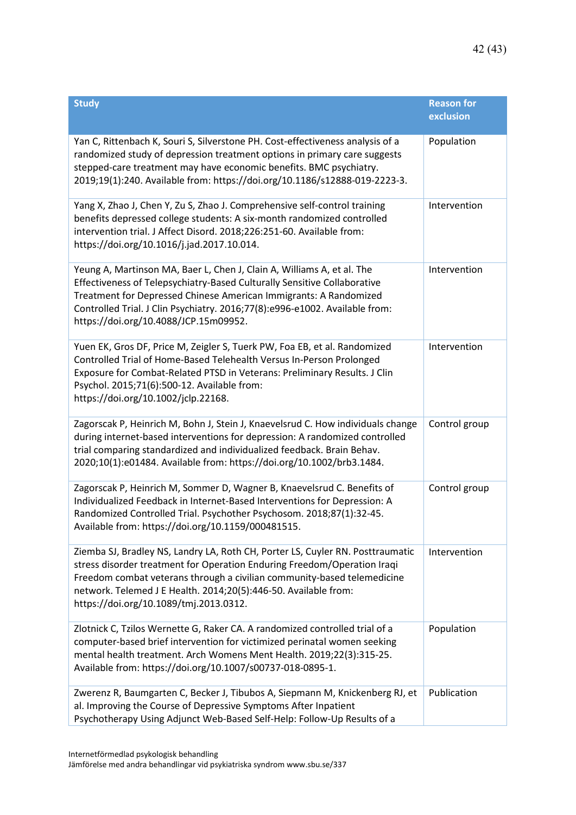| <b>Study</b>                                                                                                                                                                                                                                                                                                                                       | <b>Reason for</b><br>exclusion |
|----------------------------------------------------------------------------------------------------------------------------------------------------------------------------------------------------------------------------------------------------------------------------------------------------------------------------------------------------|--------------------------------|
| Yan C, Rittenbach K, Souri S, Silverstone PH. Cost-effectiveness analysis of a<br>randomized study of depression treatment options in primary care suggests<br>stepped-care treatment may have economic benefits. BMC psychiatry.<br>2019;19(1):240. Available from: https://doi.org/10.1186/s12888-019-2223-3.                                    | Population                     |
| Yang X, Zhao J, Chen Y, Zu S, Zhao J. Comprehensive self-control training<br>benefits depressed college students: A six-month randomized controlled<br>intervention trial. J Affect Disord. 2018;226:251-60. Available from:<br>https://doi.org/10.1016/j.jad.2017.10.014.                                                                         | Intervention                   |
| Yeung A, Martinson MA, Baer L, Chen J, Clain A, Williams A, et al. The<br>Effectiveness of Telepsychiatry-Based Culturally Sensitive Collaborative<br>Treatment for Depressed Chinese American Immigrants: A Randomized<br>Controlled Trial. J Clin Psychiatry. 2016;77(8):e996-e1002. Available from:<br>https://doi.org/10.4088/JCP.15m09952.    | Intervention                   |
| Yuen EK, Gros DF, Price M, Zeigler S, Tuerk PW, Foa EB, et al. Randomized<br>Controlled Trial of Home-Based Telehealth Versus In-Person Prolonged<br>Exposure for Combat-Related PTSD in Veterans: Preliminary Results. J Clin<br>Psychol. 2015;71(6):500-12. Available from:<br>https://doi.org/10.1002/jclp.22168.                               | Intervention                   |
| Zagorscak P, Heinrich M, Bohn J, Stein J, Knaevelsrud C. How individuals change<br>during internet-based interventions for depression: A randomized controlled<br>trial comparing standardized and individualized feedback. Brain Behav.<br>2020;10(1):e01484. Available from: https://doi.org/10.1002/brb3.1484.                                  | Control group                  |
| Zagorscak P, Heinrich M, Sommer D, Wagner B, Knaevelsrud C. Benefits of<br>Individualized Feedback in Internet-Based Interventions for Depression: A<br>Randomized Controlled Trial. Psychother Psychosom. 2018;87(1):32-45.<br>Available from: https://doi.org/10.1159/000481515.                                                                 | Control group                  |
| Ziemba SJ, Bradley NS, Landry LA, Roth CH, Porter LS, Cuyler RN. Posttraumatic<br>stress disorder treatment for Operation Enduring Freedom/Operation Iraqi<br>Freedom combat veterans through a civilian community-based telemedicine<br>network. Telemed J E Health. 2014;20(5):446-50. Available from:<br>https://doi.org/10.1089/tmj.2013.0312. | Intervention                   |
| Zlotnick C, Tzilos Wernette G, Raker CA. A randomized controlled trial of a<br>computer-based brief intervention for victimized perinatal women seeking<br>mental health treatment. Arch Womens Ment Health. 2019;22(3):315-25.<br>Available from: https://doi.org/10.1007/s00737-018-0895-1.                                                      | Population                     |
| Zwerenz R, Baumgarten C, Becker J, Tibubos A, Siepmann M, Knickenberg RJ, et<br>al. Improving the Course of Depressive Symptoms After Inpatient<br>Psychotherapy Using Adjunct Web-Based Self-Help: Follow-Up Results of a                                                                                                                         | Publication                    |